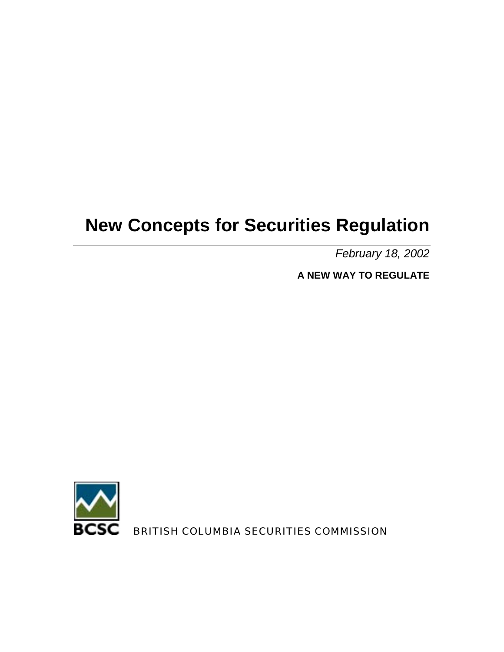# **New Concepts for Securities Regulation**

*February 18, 2002*

**A NEW WAY TO REGULATE**



 $\overline{\text{SSC}}$  BRITISH COLUMBIA SECURITIES COMMISSION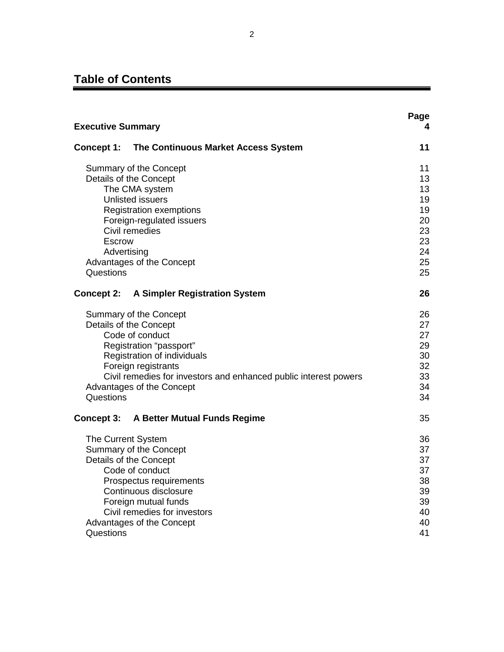# **Table of Contents**

| <b>Executive Summary</b>               |                                                                  |          |
|----------------------------------------|------------------------------------------------------------------|----------|
| Concept 1:                             | The Continuous Market Access System                              | 11       |
| Summary of the Concept                 |                                                                  | 11       |
| Details of the Concept                 |                                                                  | 13       |
| The CMA system                         |                                                                  | 13       |
| <b>Unlisted issuers</b>                |                                                                  | 19       |
|                                        | <b>Registration exemptions</b>                                   | 19       |
|                                        | Foreign-regulated issuers                                        | 20       |
|                                        | Civil remedies                                                   | 23<br>23 |
| Escrow<br>Advertising                  |                                                                  | 24       |
| Advantages of the Concept              |                                                                  | 25       |
| Questions                              |                                                                  | 25       |
| <b>Concept 2:</b>                      | <b>A Simpler Registration System</b>                             | 26       |
|                                        | Summary of the Concept                                           | 26       |
|                                        | Details of the Concept                                           | 27       |
|                                        | Code of conduct                                                  | 27       |
|                                        | Registration "passport"                                          | 29       |
|                                        | Registration of individuals                                      | 30       |
|                                        | Foreign registrants                                              | 32       |
|                                        | Civil remedies for investors and enhanced public interest powers | 33<br>34 |
| Advantages of the Concept<br>Questions |                                                                  |          |
|                                        |                                                                  | 34       |
|                                        | <b>Concept 3: A Better Mutual Funds Regime</b>                   | 35       |
| The Current System                     |                                                                  | 36       |
| Summary of the Concept                 |                                                                  |          |
| Details of the Concept                 |                                                                  |          |
|                                        | Code of conduct                                                  | 37       |
|                                        | Prospectus requirements                                          | 38       |
|                                        | Continuous disclosure                                            | 39       |
|                                        | Foreign mutual funds                                             | 39       |
|                                        | Civil remedies for investors                                     | 40       |
| Advantages of the Concept<br>Questions |                                                                  | 40<br>41 |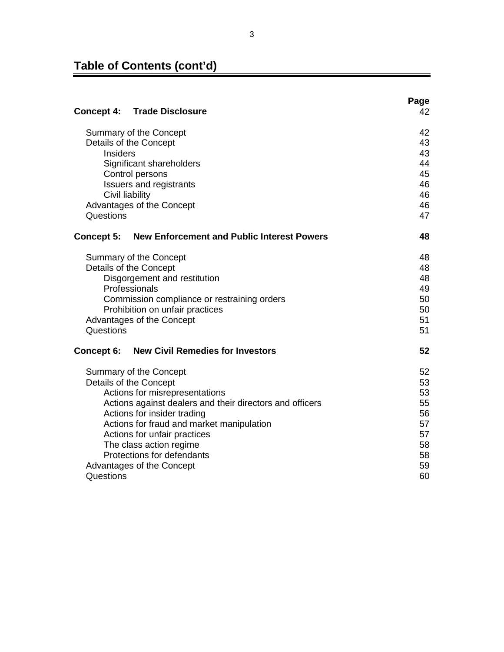# **Table of Contents (cont'd)**

|                                                          | <b>Concept 4: Trade Disclosure</b>                | Page<br>42 |
|----------------------------------------------------------|---------------------------------------------------|------------|
|                                                          |                                                   |            |
| Summary of the Concept                                   |                                                   | 42         |
| Details of the Concept                                   |                                                   | 43         |
| <b>Insiders</b>                                          |                                                   | 43         |
| Significant shareholders                                 |                                                   | 44         |
| Control persons                                          |                                                   | 45         |
| <b>Issuers and registrants</b>                           |                                                   | 46         |
| Civil liability                                          |                                                   | 46         |
| Advantages of the Concept                                |                                                   | 46         |
| Questions                                                |                                                   | 47         |
| Concept 5:                                               | <b>New Enforcement and Public Interest Powers</b> | 48         |
|                                                          | Summary of the Concept                            | 48         |
| Details of the Concept                                   |                                                   | 48         |
| Disgorgement and restitution                             |                                                   | 48         |
| Professionals                                            |                                                   | 49         |
| Commission compliance or restraining orders              |                                                   | 50         |
| Prohibition on unfair practices                          |                                                   | 50         |
| Advantages of the Concept                                |                                                   | 51         |
| Questions                                                |                                                   | 51         |
| Concept 6:                                               | <b>New Civil Remedies for Investors</b>           | 52         |
|                                                          | Summary of the Concept                            | 52         |
| Details of the Concept                                   | 53                                                |            |
| Actions for misrepresentations                           |                                                   | 53         |
| Actions against dealers and their directors and officers | 55                                                |            |
| Actions for insider trading                              | 56                                                |            |
| Actions for fraud and market manipulation                |                                                   | 57         |
| Actions for unfair practices                             | 57                                                |            |
| The class action regime                                  | 58                                                |            |
| Protections for defendants                               |                                                   | 58         |
| Advantages of the Concept                                |                                                   | 59         |
| Questions                                                |                                                   | 60         |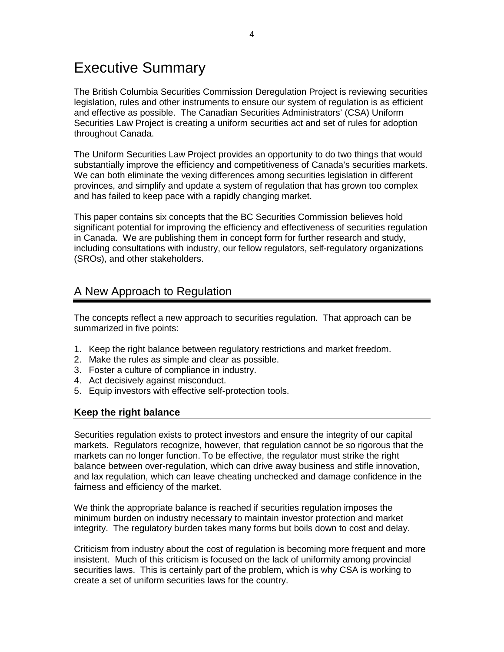# Executive Summary

The British Columbia Securities Commission Deregulation Project is reviewing securities legislation, rules and other instruments to ensure our system of regulation is as efficient and effective as possible. The Canadian Securities Administrators' (CSA) Uniform Securities Law Project is creating a uniform securities act and set of rules for adoption throughout Canada.

The Uniform Securities Law Project provides an opportunity to do two things that would substantially improve the efficiency and competitiveness of Canada's securities markets. We can both eliminate the vexing differences among securities legislation in different provinces, and simplify and update a system of regulation that has grown too complex and has failed to keep pace with a rapidly changing market.

This paper contains six concepts that the BC Securities Commission believes hold significant potential for improving the efficiency and effectiveness of securities regulation in Canada. We are publishing them in concept form for further research and study, including consultations with industry, our fellow regulators, self-regulatory organizations (SROs), and other stakeholders.

# A New Approach to Regulation

The concepts reflect a new approach to securities regulation. That approach can be summarized in five points:

- 1. Keep the right balance between regulatory restrictions and market freedom.
- 2. Make the rules as simple and clear as possible.
- 3. Foster a culture of compliance in industry.
- 4. Act decisively against misconduct.
- 5. Equip investors with effective self-protection tools.

# **Keep the right balance**

Securities regulation exists to protect investors and ensure the integrity of our capital markets. Regulators recognize, however, that regulation cannot be so rigorous that the markets can no longer function. To be effective, the regulator must strike the right balance between over-regulation, which can drive away business and stifle innovation, and lax regulation, which can leave cheating unchecked and damage confidence in the fairness and efficiency of the market.

We think the appropriate balance is reached if securities regulation imposes the minimum burden on industry necessary to maintain investor protection and market integrity. The regulatory burden takes many forms but boils down to cost and delay.

Criticism from industry about the cost of regulation is becoming more frequent and more insistent. Much of this criticism is focused on the lack of uniformity among provincial securities laws. This is certainly part of the problem, which is why CSA is working to create a set of uniform securities laws for the country.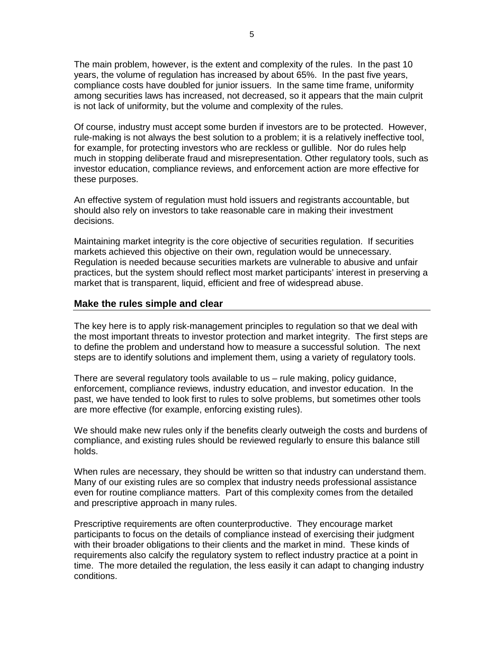The main problem, however, is the extent and complexity of the rules. In the past 10 years, the volume of regulation has increased by about 65%. In the past five years, compliance costs have doubled for junior issuers. In the same time frame, uniformity among securities laws has increased, not decreased, so it appears that the main culprit is not lack of uniformity, but the volume and complexity of the rules.

Of course, industry must accept some burden if investors are to be protected. However, rule-making is not always the best solution to a problem; it is a relatively ineffective tool, for example, for protecting investors who are reckless or gullible. Nor do rules help much in stopping deliberate fraud and misrepresentation. Other regulatory tools, such as investor education, compliance reviews, and enforcement action are more effective for these purposes.

An effective system of regulation must hold issuers and registrants accountable, but should also rely on investors to take reasonable care in making their investment decisions.

Maintaining market integrity is the core objective of securities regulation. If securities markets achieved this objective on their own, regulation would be unnecessary. Regulation is needed because securities markets are vulnerable to abusive and unfair practices, but the system should reflect most market participants' interest in preserving a market that is transparent, liquid, efficient and free of widespread abuse.

#### **Make the rules simple and clear**

The key here is to apply risk-management principles to regulation so that we deal with the most important threats to investor protection and market integrity. The first steps are to define the problem and understand how to measure a successful solution. The next steps are to identify solutions and implement them, using a variety of regulatory tools.

There are several regulatory tools available to us – rule making, policy guidance, enforcement, compliance reviews, industry education, and investor education. In the past, we have tended to look first to rules to solve problems, but sometimes other tools are more effective (for example, enforcing existing rules).

We should make new rules only if the benefits clearly outweigh the costs and burdens of compliance, and existing rules should be reviewed regularly to ensure this balance still holds.

When rules are necessary, they should be written so that industry can understand them. Many of our existing rules are so complex that industry needs professional assistance even for routine compliance matters. Part of this complexity comes from the detailed and prescriptive approach in many rules.

Prescriptive requirements are often counterproductive. They encourage market participants to focus on the details of compliance instead of exercising their judgment with their broader obligations to their clients and the market in mind. These kinds of requirements also calcify the regulatory system to reflect industry practice at a point in time. The more detailed the regulation, the less easily it can adapt to changing industry conditions.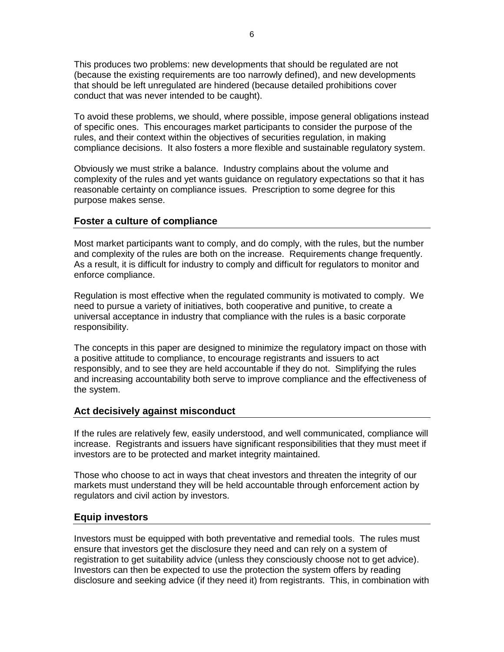This produces two problems: new developments that should be regulated are not (because the existing requirements are too narrowly defined), and new developments that should be left unregulated are hindered (because detailed prohibitions cover conduct that was never intended to be caught).

To avoid these problems, we should, where possible, impose general obligations instead of specific ones. This encourages market participants to consider the purpose of the rules, and their context within the objectives of securities regulation, in making compliance decisions. It also fosters a more flexible and sustainable regulatory system.

Obviously we must strike a balance. Industry complains about the volume and complexity of the rules and yet wants guidance on regulatory expectations so that it has reasonable certainty on compliance issues. Prescription to some degree for this purpose makes sense.

# **Foster a culture of compliance**

Most market participants want to comply, and do comply, with the rules, but the number and complexity of the rules are both on the increase. Requirements change frequently. As a result, it is difficult for industry to comply and difficult for regulators to monitor and enforce compliance.

Regulation is most effective when the regulated community is motivated to comply. We need to pursue a variety of initiatives, both cooperative and punitive, to create a universal acceptance in industry that compliance with the rules is a basic corporate responsibility.

The concepts in this paper are designed to minimize the regulatory impact on those with a positive attitude to compliance, to encourage registrants and issuers to act responsibly, and to see they are held accountable if they do not. Simplifying the rules and increasing accountability both serve to improve compliance and the effectiveness of the system.

### **Act decisively against misconduct**

If the rules are relatively few, easily understood, and well communicated, compliance will increase. Registrants and issuers have significant responsibilities that they must meet if investors are to be protected and market integrity maintained.

Those who choose to act in ways that cheat investors and threaten the integrity of our markets must understand they will be held accountable through enforcement action by regulators and civil action by investors.

# **Equip investors**

Investors must be equipped with both preventative and remedial tools. The rules must ensure that investors get the disclosure they need and can rely on a system of registration to get suitability advice (unless they consciously choose not to get advice). Investors can then be expected to use the protection the system offers by reading disclosure and seeking advice (if they need it) from registrants. This, in combination with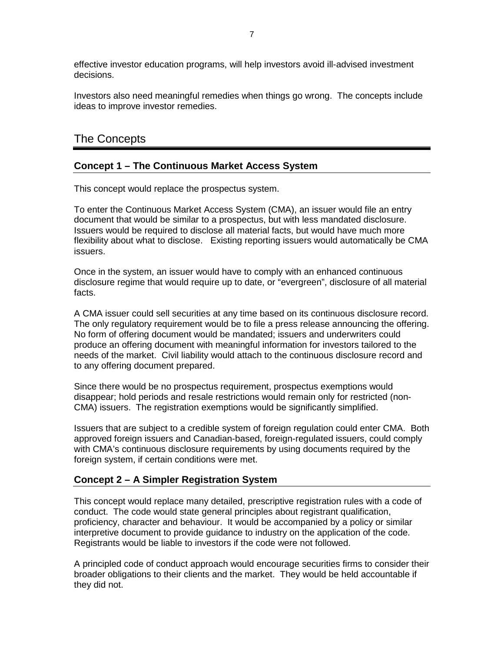effective investor education programs, will help investors avoid ill-advised investment decisions.

Investors also need meaningful remedies when things go wrong. The concepts include ideas to improve investor remedies.

# The Concepts

# **Concept 1 – The Continuous Market Access System**

This concept would replace the prospectus system.

To enter the Continuous Market Access System (CMA), an issuer would file an entry document that would be similar to a prospectus, but with less mandated disclosure. Issuers would be required to disclose all material facts, but would have much more flexibility about what to disclose. Existing reporting issuers would automatically be CMA issuers.

Once in the system, an issuer would have to comply with an enhanced continuous disclosure regime that would require up to date, or "evergreen", disclosure of all material facts.

A CMA issuer could sell securities at any time based on its continuous disclosure record. The only regulatory requirement would be to file a press release announcing the offering. No form of offering document would be mandated; issuers and underwriters could produce an offering document with meaningful information for investors tailored to the needs of the market. Civil liability would attach to the continuous disclosure record and to any offering document prepared.

Since there would be no prospectus requirement, prospectus exemptions would disappear; hold periods and resale restrictions would remain only for restricted (non-CMA) issuers. The registration exemptions would be significantly simplified.

Issuers that are subject to a credible system of foreign regulation could enter CMA. Both approved foreign issuers and Canadian-based, foreign-regulated issuers, could comply with CMA's continuous disclosure requirements by using documents required by the foreign system, if certain conditions were met.

# **Concept 2 – A Simpler Registration System**

This concept would replace many detailed, prescriptive registration rules with a code of conduct. The code would state general principles about registrant qualification, proficiency, character and behaviour. It would be accompanied by a policy or similar interpretive document to provide guidance to industry on the application of the code. Registrants would be liable to investors if the code were not followed.

A principled code of conduct approach would encourage securities firms to consider their broader obligations to their clients and the market. They would be held accountable if they did not.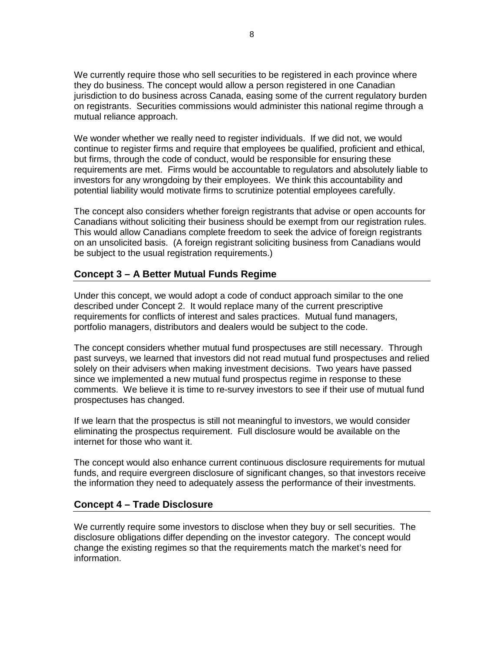We currently require those who sell securities to be registered in each province where they do business. The concept would allow a person registered in one Canadian jurisdiction to do business across Canada, easing some of the current regulatory burden on registrants. Securities commissions would administer this national regime through a mutual reliance approach.

We wonder whether we really need to register individuals. If we did not, we would continue to register firms and require that employees be qualified, proficient and ethical, but firms, through the code of conduct, would be responsible for ensuring these requirements are met. Firms would be accountable to regulators and absolutely liable to investors for any wrongdoing by their employees. We think this accountability and potential liability would motivate firms to scrutinize potential employees carefully.

The concept also considers whether foreign registrants that advise or open accounts for Canadians without soliciting their business should be exempt from our registration rules. This would allow Canadians complete freedom to seek the advice of foreign registrants on an unsolicited basis. (A foreign registrant soliciting business from Canadians would be subject to the usual registration requirements.)

# **Concept 3 – A Better Mutual Funds Regime**

Under this concept, we would adopt a code of conduct approach similar to the one described under Concept 2. It would replace many of the current prescriptive requirements for conflicts of interest and sales practices. Mutual fund managers, portfolio managers, distributors and dealers would be subject to the code.

The concept considers whether mutual fund prospectuses are still necessary. Through past surveys, we learned that investors did not read mutual fund prospectuses and relied solely on their advisers when making investment decisions. Two years have passed since we implemented a new mutual fund prospectus regime in response to these comments. We believe it is time to re-survey investors to see if their use of mutual fund prospectuses has changed.

If we learn that the prospectus is still not meaningful to investors, we would consider eliminating the prospectus requirement. Full disclosure would be available on the internet for those who want it.

The concept would also enhance current continuous disclosure requirements for mutual funds, and require evergreen disclosure of significant changes, so that investors receive the information they need to adequately assess the performance of their investments.

# **Concept 4 – Trade Disclosure**

We currently require some investors to disclose when they buy or sell securities. The disclosure obligations differ depending on the investor category. The concept would change the existing regimes so that the requirements match the market's need for information.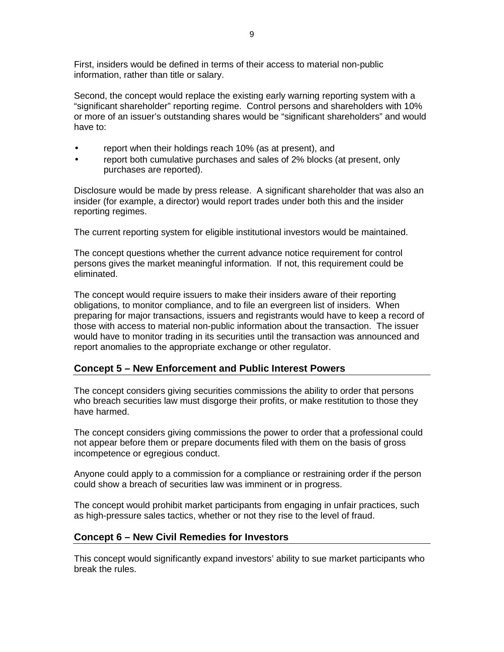First, insiders would be defined in terms of their access to material non-public information, rather than title or salary.

Second, the concept would replace the existing early warning reporting system with a "significant shareholder" reporting regime. Control persons and shareholders with 10% or more of an issuer's outstanding shares would be "significant shareholders" and would have to:

- report when their holdings reach 10% (as at present), and
- report both cumulative purchases and sales of 2% blocks (at present, only purchases are reported).

Disclosure would be made by press release. A significant shareholder that was also an insider (for example, a director) would report trades under both this and the insider reporting regimes.

The current reporting system for eligible institutional investors would be maintained.

The concept questions whether the current advance notice requirement for control persons gives the market meaningful information. If not, this requirement could be eliminated.

The concept would require issuers to make their insiders aware of their reporting obligations, to monitor compliance, and to file an evergreen list of insiders. When preparing for major transactions, issuers and registrants would have to keep a record of those with access to material non-public information about the transaction. The issuer would have to monitor trading in its securities until the transaction was announced and report anomalies to the appropriate exchange or other regulator.

# **Concept 5 – New Enforcement and Public Interest Powers**

The concept considers giving securities commissions the ability to order that persons who breach securities law must disgorge their profits, or make restitution to those they have harmed.

The concept considers giving commissions the power to order that a professional could not appear before them or prepare documents filed with them on the basis of gross incompetence or egregious conduct.

Anyone could apply to a commission for a compliance or restraining order if the person could show a breach of securities law was imminent or in progress.

The concept would prohibit market participants from engaging in unfair practices, such as high-pressure sales tactics, whether or not they rise to the level of fraud.

# **Concept 6 – New Civil Remedies for Investors**

This concept would significantly expand investors' ability to sue market participants who break the rules.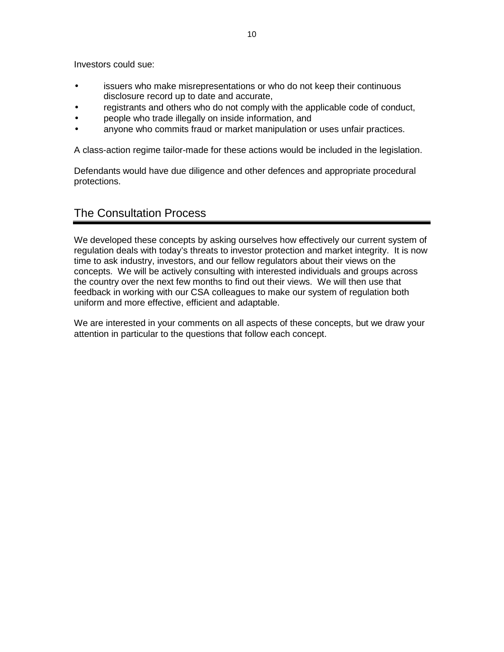Investors could sue:

- issuers who make misrepresentations or who do not keep their continuous disclosure record up to date and accurate,
- registrants and others who do not comply with the applicable code of conduct,
- people who trade illegally on inside information, and
- anyone who commits fraud or market manipulation or uses unfair practices.

A class-action regime tailor-made for these actions would be included in the legislation.

Defendants would have due diligence and other defences and appropriate procedural protections.

# The Consultation Process

We developed these concepts by asking ourselves how effectively our current system of regulation deals with today's threats to investor protection and market integrity. It is now time to ask industry, investors, and our fellow regulators about their views on the concepts. We will be actively consulting with interested individuals and groups across the country over the next few months to find out their views. We will then use that feedback in working with our CSA colleagues to make our system of regulation both uniform and more effective, efficient and adaptable.

We are interested in your comments on all aspects of these concepts, but we draw your attention in particular to the questions that follow each concept.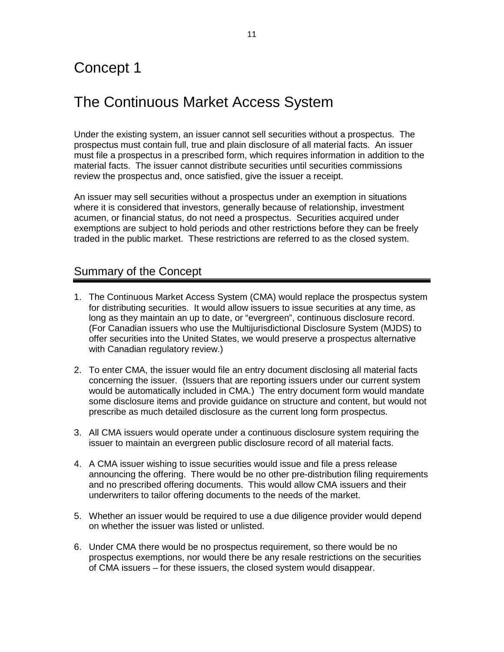# Concept 1

# The Continuous Market Access System

Under the existing system, an issuer cannot sell securities without a prospectus. The prospectus must contain full, true and plain disclosure of all material facts. An issuer must file a prospectus in a prescribed form, which requires information in addition to the material facts. The issuer cannot distribute securities until securities commissions review the prospectus and, once satisfied, give the issuer a receipt.

An issuer may sell securities without a prospectus under an exemption in situations where it is considered that investors, generally because of relationship, investment acumen, or financial status, do not need a prospectus. Securities acquired under exemptions are subject to hold periods and other restrictions before they can be freely traded in the public market. These restrictions are referred to as the closed system.

# Summary of the Concept

- 1. The Continuous Market Access System (CMA) would replace the prospectus system for distributing securities. It would allow issuers to issue securities at any time, as long as they maintain an up to date, or "evergreen", continuous disclosure record. (For Canadian issuers who use the Multijurisdictional Disclosure System (MJDS) to offer securities into the United States, we would preserve a prospectus alternative with Canadian regulatory review.)
- 2. To enter CMA, the issuer would file an entry document disclosing all material facts concerning the issuer. (Issuers that are reporting issuers under our current system would be automatically included in CMA.) The entry document form would mandate some disclosure items and provide guidance on structure and content, but would not prescribe as much detailed disclosure as the current long form prospectus.
- 3. All CMA issuers would operate under a continuous disclosure system requiring the issuer to maintain an evergreen public disclosure record of all material facts.
- 4. A CMA issuer wishing to issue securities would issue and file a press release announcing the offering. There would be no other pre-distribution filing requirements and no prescribed offering documents. This would allow CMA issuers and their underwriters to tailor offering documents to the needs of the market.
- 5. Whether an issuer would be required to use a due diligence provider would depend on whether the issuer was listed or unlisted.
- 6. Under CMA there would be no prospectus requirement, so there would be no prospectus exemptions, nor would there be any resale restrictions on the securities of CMA issuers – for these issuers, the closed system would disappear.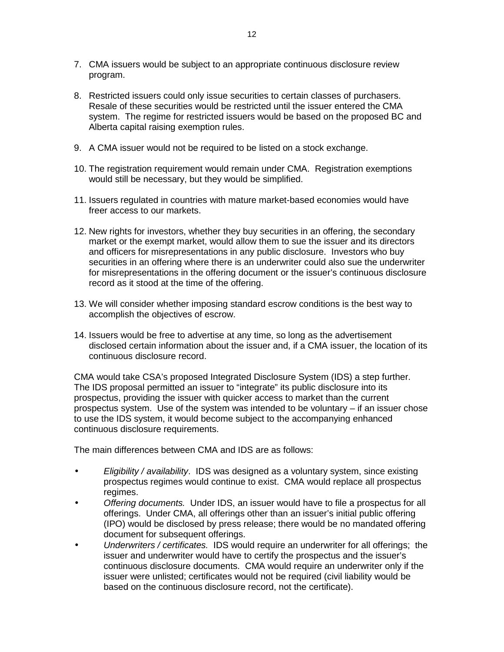- 7. CMA issuers would be subject to an appropriate continuous disclosure review program.
- 8. Restricted issuers could only issue securities to certain classes of purchasers. Resale of these securities would be restricted until the issuer entered the CMA system. The regime for restricted issuers would be based on the proposed BC and Alberta capital raising exemption rules.
- 9. A CMA issuer would not be required to be listed on a stock exchange.
- 10. The registration requirement would remain under CMA. Registration exemptions would still be necessary, but they would be simplified.
- 11. Issuers regulated in countries with mature market-based economies would have freer access to our markets.
- 12. New rights for investors, whether they buy securities in an offering, the secondary market or the exempt market, would allow them to sue the issuer and its directors and officers for misrepresentations in any public disclosure. Investors who buy securities in an offering where there is an underwriter could also sue the underwriter for misrepresentations in the offering document or the issuer's continuous disclosure record as it stood at the time of the offering.
- 13. We will consider whether imposing standard escrow conditions is the best way to accomplish the objectives of escrow.
- 14. Issuers would be free to advertise at any time, so long as the advertisement disclosed certain information about the issuer and, if a CMA issuer, the location of its continuous disclosure record.

CMA would take CSA's proposed Integrated Disclosure System (IDS) a step further. The IDS proposal permitted an issuer to "integrate" its public disclosure into its prospectus, providing the issuer with quicker access to market than the current prospectus system. Use of the system was intended to be voluntary – if an issuer chose to use the IDS system, it would become subject to the accompanying enhanced continuous disclosure requirements.

The main differences between CMA and IDS are as follows:

- *Eligibility / availability*. IDS was designed as a voluntary system, since existing prospectus regimes would continue to exist. CMA would replace all prospectus regimes.
- *Offering documents.* Under IDS, an issuer would have to file a prospectus for all offerings. Under CMA, all offerings other than an issuer's initial public offering (IPO) would be disclosed by press release; there would be no mandated offering document for subsequent offerings.
- *Underwriters / certificates.* IDS would require an underwriter for all offerings; the issuer and underwriter would have to certify the prospectus and the issuer's continuous disclosure documents. CMA would require an underwriter only if the issuer were unlisted; certificates would not be required (civil liability would be based on the continuous disclosure record, not the certificate).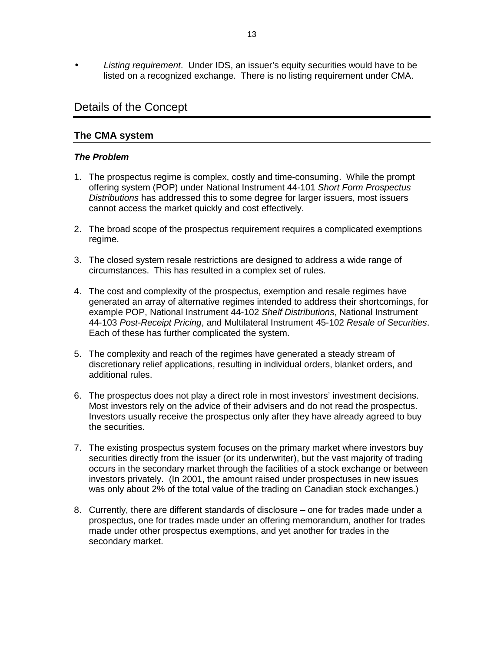• *Listing requirement*. Under IDS, an issuer's equity securities would have to be listed on a recognized exchange. There is no listing requirement under CMA.

# Details of the Concept

#### **The CMA system**

#### *The Problem*

- 1. The prospectus regime is complex, costly and time-consuming. While the prompt offering system (POP) under National Instrument 44-101 *Short Form Prospectus Distributions* has addressed this to some degree for larger issuers, most issuers cannot access the market quickly and cost effectively.
- 2. The broad scope of the prospectus requirement requires a complicated exemptions regime.
- 3. The closed system resale restrictions are designed to address a wide range of circumstances. This has resulted in a complex set of rules.
- 4. The cost and complexity of the prospectus, exemption and resale regimes have generated an array of alternative regimes intended to address their shortcomings, for example POP, National Instrument 44-102 *Shelf Distributions*, National Instrument 44-103 *Post-Receipt Pricing*, and Multilateral Instrument 45-102 *Resale of Securities*. Each of these has further complicated the system.
- 5. The complexity and reach of the regimes have generated a steady stream of discretionary relief applications, resulting in individual orders, blanket orders, and additional rules.
- 6. The prospectus does not play a direct role in most investors' investment decisions. Most investors rely on the advice of their advisers and do not read the prospectus. Investors usually receive the prospectus only after they have already agreed to buy the securities.
- 7. The existing prospectus system focuses on the primary market where investors buy securities directly from the issuer (or its underwriter), but the vast majority of trading occurs in the secondary market through the facilities of a stock exchange or between investors privately. (In 2001, the amount raised under prospectuses in new issues was only about 2% of the total value of the trading on Canadian stock exchanges.)
- 8. Currently, there are different standards of disclosure one for trades made under a prospectus, one for trades made under an offering memorandum, another for trades made under other prospectus exemptions, and yet another for trades in the secondary market.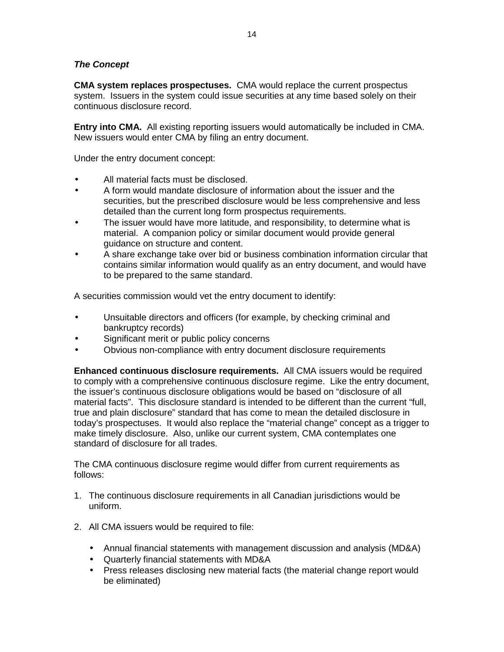# *The Concept*

**CMA system replaces prospectuses.** CMA would replace the current prospectus system. Issuers in the system could issue securities at any time based solely on their continuous disclosure record.

**Entry into CMA.** All existing reporting issuers would automatically be included in CMA. New issuers would enter CMA by filing an entry document.

Under the entry document concept:

- All material facts must be disclosed.
- A form would mandate disclosure of information about the issuer and the securities, but the prescribed disclosure would be less comprehensive and less detailed than the current long form prospectus requirements.
- The issuer would have more latitude, and responsibility, to determine what is material. A companion policy or similar document would provide general guidance on structure and content.
- A share exchange take over bid or business combination information circular that contains similar information would qualify as an entry document, and would have to be prepared to the same standard.

A securities commission would vet the entry document to identify:

- Unsuitable directors and officers (for example, by checking criminal and bankruptcy records)
- Significant merit or public policy concerns
- Obvious non-compliance with entry document disclosure requirements

**Enhanced continuous disclosure requirements.** All CMA issuers would be required to comply with a comprehensive continuous disclosure regime. Like the entry document, the issuer's continuous disclosure obligations would be based on "disclosure of all material facts". This disclosure standard is intended to be different than the current "full, true and plain disclosure" standard that has come to mean the detailed disclosure in today's prospectuses. It would also replace the "material change" concept as a trigger to make timely disclosure. Also, unlike our current system, CMA contemplates one standard of disclosure for all trades.

The CMA continuous disclosure regime would differ from current requirements as follows:

- 1. The continuous disclosure requirements in all Canadian jurisdictions would be uniform.
- 2. All CMA issuers would be required to file:
	- Annual financial statements with management discussion and analysis (MD&A)
	- Quarterly financial statements with MD&A
	- Press releases disclosing new material facts (the material change report would be eliminated)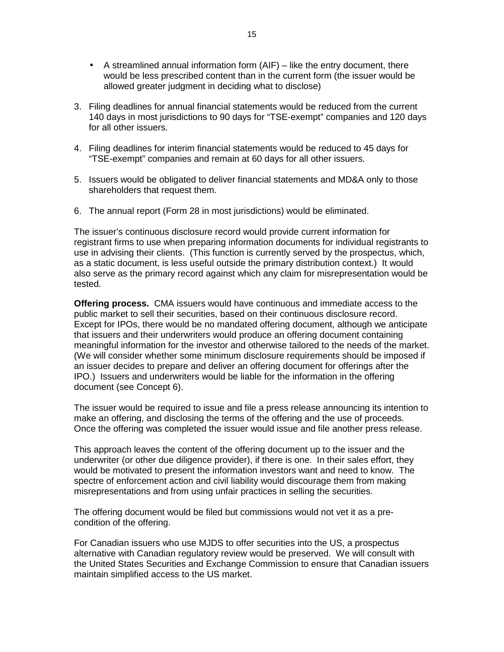- A streamlined annual information form (AIF) like the entry document, there would be less prescribed content than in the current form (the issuer would be allowed greater judgment in deciding what to disclose)
- 3. Filing deadlines for annual financial statements would be reduced from the current 140 days in most jurisdictions to 90 days for "TSE-exempt" companies and 120 days for all other issuers.
- 4. Filing deadlines for interim financial statements would be reduced to 45 days for "TSE-exempt" companies and remain at 60 days for all other issuers.
- 5. Issuers would be obligated to deliver financial statements and MD&A only to those shareholders that request them.
- 6. The annual report (Form 28 in most jurisdictions) would be eliminated.

The issuer's continuous disclosure record would provide current information for registrant firms to use when preparing information documents for individual registrants to use in advising their clients. (This function is currently served by the prospectus, which, as a static document, is less useful outside the primary distribution context.) It would also serve as the primary record against which any claim for misrepresentation would be tested.

**Offering process.** CMA issuers would have continuous and immediate access to the public market to sell their securities, based on their continuous disclosure record. Except for IPOs, there would be no mandated offering document, although we anticipate that issuers and their underwriters would produce an offering document containing meaningful information for the investor and otherwise tailored to the needs of the market. (We will consider whether some minimum disclosure requirements should be imposed if an issuer decides to prepare and deliver an offering document for offerings after the IPO.) Issuers and underwriters would be liable for the information in the offering document (see Concept 6).

The issuer would be required to issue and file a press release announcing its intention to make an offering, and disclosing the terms of the offering and the use of proceeds. Once the offering was completed the issuer would issue and file another press release.

This approach leaves the content of the offering document up to the issuer and the underwriter (or other due diligence provider), if there is one. In their sales effort, they would be motivated to present the information investors want and need to know. The spectre of enforcement action and civil liability would discourage them from making misrepresentations and from using unfair practices in selling the securities.

The offering document would be filed but commissions would not vet it as a precondition of the offering.

For Canadian issuers who use MJDS to offer securities into the US, a prospectus alternative with Canadian regulatory review would be preserved. We will consult with the United States Securities and Exchange Commission to ensure that Canadian issuers maintain simplified access to the US market.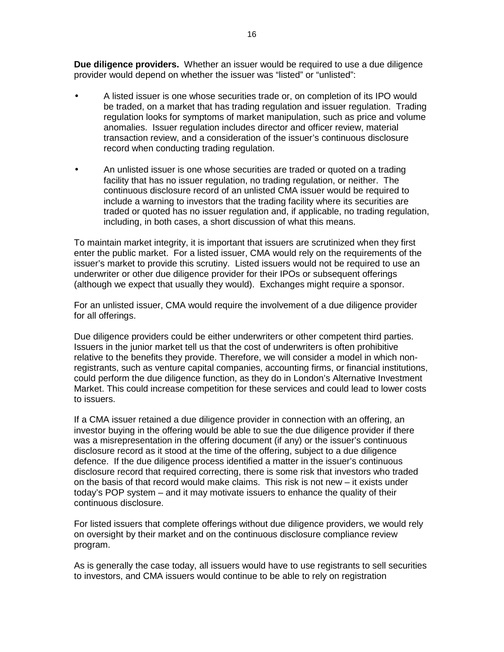**Due diligence providers.** Whether an issuer would be required to use a due diligence provider would depend on whether the issuer was "listed" or "unlisted":

- A listed issuer is one whose securities trade or, on completion of its IPO would be traded, on a market that has trading regulation and issuer regulation. Trading regulation looks for symptoms of market manipulation, such as price and volume anomalies. Issuer regulation includes director and officer review, material transaction review, and a consideration of the issuer's continuous disclosure record when conducting trading regulation.
- An unlisted issuer is one whose securities are traded or quoted on a trading facility that has no issuer regulation, no trading regulation, or neither. The continuous disclosure record of an unlisted CMA issuer would be required to include a warning to investors that the trading facility where its securities are traded or quoted has no issuer regulation and, if applicable, no trading regulation, including, in both cases, a short discussion of what this means.

To maintain market integrity, it is important that issuers are scrutinized when they first enter the public market. For a listed issuer, CMA would rely on the requirements of the issuer's market to provide this scrutiny. Listed issuers would not be required to use an underwriter or other due diligence provider for their IPOs or subsequent offerings (although we expect that usually they would). Exchanges might require a sponsor.

For an unlisted issuer, CMA would require the involvement of a due diligence provider for all offerings.

Due diligence providers could be either underwriters or other competent third parties. Issuers in the junior market tell us that the cost of underwriters is often prohibitive relative to the benefits they provide. Therefore, we will consider a model in which nonregistrants, such as venture capital companies, accounting firms, or financial institutions, could perform the due diligence function, as they do in London's Alternative Investment Market. This could increase competition for these services and could lead to lower costs to issuers.

If a CMA issuer retained a due diligence provider in connection with an offering, an investor buying in the offering would be able to sue the due diligence provider if there was a misrepresentation in the offering document (if any) or the issuer's continuous disclosure record as it stood at the time of the offering, subject to a due diligence defence. If the due diligence process identified a matter in the issuer's continuous disclosure record that required correcting, there is some risk that investors who traded on the basis of that record would make claims. This risk is not new – it exists under today's POP system – and it may motivate issuers to enhance the quality of their continuous disclosure.

For listed issuers that complete offerings without due diligence providers, we would rely on oversight by their market and on the continuous disclosure compliance review program.

As is generally the case today, all issuers would have to use registrants to sell securities to investors, and CMA issuers would continue to be able to rely on registration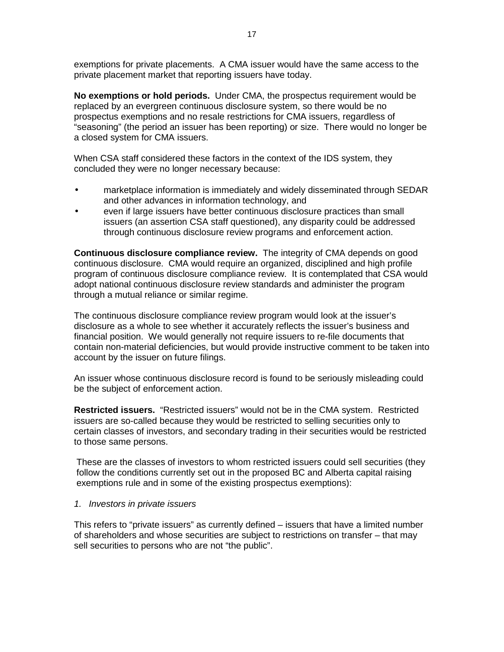exemptions for private placements. A CMA issuer would have the same access to the private placement market that reporting issuers have today.

**No exemptions or hold periods.** Under CMA, the prospectus requirement would be replaced by an evergreen continuous disclosure system, so there would be no prospectus exemptions and no resale restrictions for CMA issuers, regardless of "seasoning" (the period an issuer has been reporting) or size. There would no longer be a closed system for CMA issuers.

When CSA staff considered these factors in the context of the IDS system, they concluded they were no longer necessary because:

- marketplace information is immediately and widely disseminated through SEDAR and other advances in information technology, and
- even if large issuers have better continuous disclosure practices than small issuers (an assertion CSA staff questioned), any disparity could be addressed through continuous disclosure review programs and enforcement action.

**Continuous disclosure compliance review.** The integrity of CMA depends on good continuous disclosure. CMA would require an organized, disciplined and high profile program of continuous disclosure compliance review. It is contemplated that CSA would adopt national continuous disclosure review standards and administer the program through a mutual reliance or similar regime.

The continuous disclosure compliance review program would look at the issuer's disclosure as a whole to see whether it accurately reflects the issuer's business and financial position. We would generally not require issuers to re-file documents that contain non-material deficiencies, but would provide instructive comment to be taken into account by the issuer on future filings.

An issuer whose continuous disclosure record is found to be seriously misleading could be the subject of enforcement action.

**Restricted issuers.** "Restricted issuers" would not be in the CMA system. Restricted issuers are so-called because they would be restricted to selling securities only to certain classes of investors, and secondary trading in their securities would be restricted to those same persons.

These are the classes of investors to whom restricted issuers could sell securities (they follow the conditions currently set out in the proposed BC and Alberta capital raising exemptions rule and in some of the existing prospectus exemptions):

#### *1. Investors in private issuers*

This refers to "private issuers" as currently defined – issuers that have a limited number of shareholders and whose securities are subject to restrictions on transfer – that may sell securities to persons who are not "the public".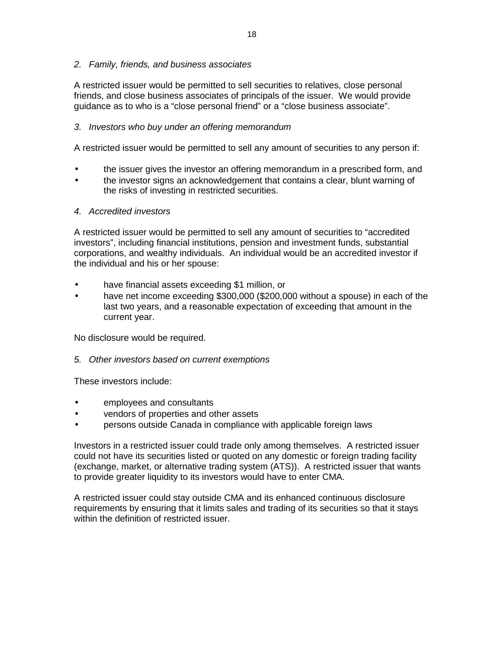*2. Family, friends, and business associates* 

A restricted issuer would be permitted to sell securities to relatives, close personal friends, and close business associates of principals of the issuer. We would provide guidance as to who is a "close personal friend" or a "close business associate".

### *3. Investors who buy under an offering memorandum*

A restricted issuer would be permitted to sell any amount of securities to any person if:

- the issuer gives the investor an offering memorandum in a prescribed form, and
- the investor signs an acknowledgement that contains a clear, blunt warning of the risks of investing in restricted securities.

#### *4. Accredited investors*

A restricted issuer would be permitted to sell any amount of securities to "accredited investors", including financial institutions, pension and investment funds, substantial corporations, and wealthy individuals. An individual would be an accredited investor if the individual and his or her spouse:

- have financial assets exceeding \$1 million, or
- have net income exceeding \$300,000 (\$200,000 without a spouse) in each of the last two years, and a reasonable expectation of exceeding that amount in the current year.

No disclosure would be required.

*5. Other investors based on current exemptions* 

These investors include:

- employees and consultants
- vendors of properties and other assets
- persons outside Canada in compliance with applicable foreign laws

Investors in a restricted issuer could trade only among themselves. A restricted issuer could not have its securities listed or quoted on any domestic or foreign trading facility (exchange, market, or alternative trading system (ATS)). A restricted issuer that wants to provide greater liquidity to its investors would have to enter CMA.

A restricted issuer could stay outside CMA and its enhanced continuous disclosure requirements by ensuring that it limits sales and trading of its securities so that it stays within the definition of restricted issuer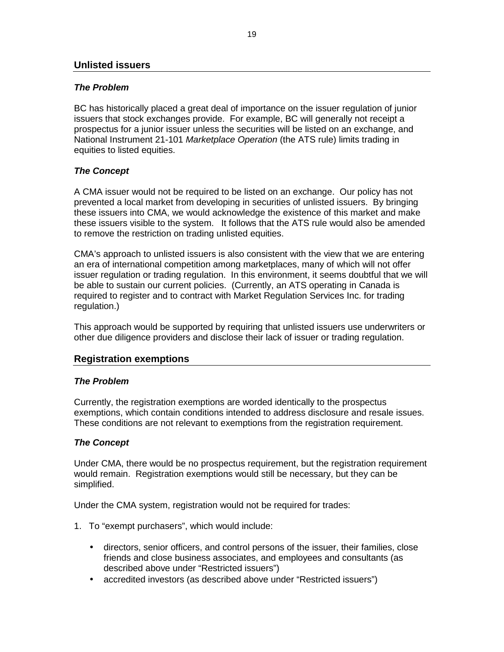### *The Problem*

BC has historically placed a great deal of importance on the issuer regulation of junior issuers that stock exchanges provide. For example, BC will generally not receipt a prospectus for a junior issuer unless the securities will be listed on an exchange, and National Instrument 21-101 *Marketplace Operation* (the ATS rule) limits trading in equities to listed equities.

# *The Concept*

A CMA issuer would not be required to be listed on an exchange. Our policy has not prevented a local market from developing in securities of unlisted issuers. By bringing these issuers into CMA, we would acknowledge the existence of this market and make these issuers visible to the system.It follows that the ATS rule would also be amended to remove the restriction on trading unlisted equities.

CMA's approach to unlisted issuers is also consistent with the view that we are entering an era of international competition among marketplaces, many of which will not offer issuer regulation or trading regulation. In this environment, it seems doubtful that we will be able to sustain our current policies. (Currently, an ATS operating in Canada is required to register and to contract with Market Regulation Services Inc. for trading regulation.)

This approach would be supported by requiring that unlisted issuers use underwriters or other due diligence providers and disclose their lack of issuer or trading regulation.

# **Registration exemptions**

# *The Problem*

Currently, the registration exemptions are worded identically to the prospectus exemptions, which contain conditions intended to address disclosure and resale issues. These conditions are not relevant to exemptions from the registration requirement.

# *The Concept*

Under CMA, there would be no prospectus requirement, but the registration requirement would remain. Registration exemptions would still be necessary, but they can be simplified.

Under the CMA system, registration would not be required for trades:

- 1. To "exempt purchasers", which would include:
	- directors, senior officers, and control persons of the issuer, their families, close friends and close business associates, and employees and consultants (as described above under "Restricted issuers")
	- accredited investors (as described above under "Restricted issuers")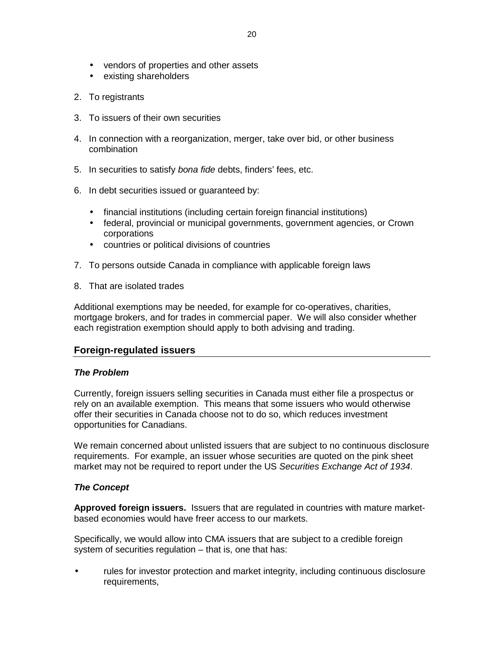- vendors of properties and other assets
- existing shareholders
- 2. To registrants
- 3. To issuers of their own securities
- 4. In connection with a reorganization, merger, take over bid, or other business combination
- 5. In securities to satisfy *bona fide* debts, finders' fees, etc.
- 6. In debt securities issued or guaranteed by:
	- financial institutions (including certain foreign financial institutions)
	- federal, provincial or municipal governments, government agencies, or Crown corporations
	- countries or political divisions of countries
- 7. To persons outside Canada in compliance with applicable foreign laws
- 8. That are isolated trades

Additional exemptions may be needed, for example for co-operatives, charities, mortgage brokers, and for trades in commercial paper. We will also consider whether each registration exemption should apply to both advising and trading.

# **Foreign-regulated issuers**

#### *The Problem*

Currently, foreign issuers selling securities in Canada must either file a prospectus or rely on an available exemption. This means that some issuers who would otherwise offer their securities in Canada choose not to do so, which reduces investment opportunities for Canadians.

We remain concerned about unlisted issuers that are subject to no continuous disclosure requirements. For example, an issuer whose securities are quoted on the pink sheet market may not be required to report under the US *Securities Exchange Act of 1934*.

#### *The Concept*

**Approved foreign issuers.** Issuers that are regulated in countries with mature marketbased economies would have freer access to our markets.

Specifically, we would allow into CMA issuers that are subject to a credible foreign system of securities regulation – that is, one that has:

• rules for investor protection and market integrity, including continuous disclosure requirements,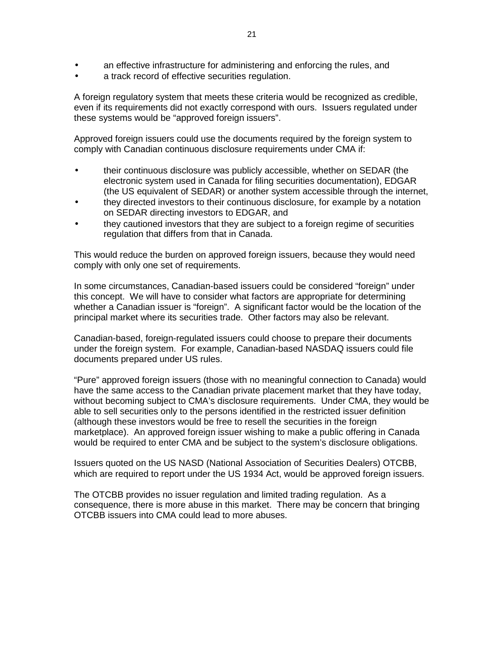- an effective infrastructure for administering and enforcing the rules, and
- a track record of effective securities regulation.

A foreign regulatory system that meets these criteria would be recognized as credible, even if its requirements did not exactly correspond with ours. Issuers regulated under these systems would be "approved foreign issuers".

Approved foreign issuers could use the documents required by the foreign system to comply with Canadian continuous disclosure requirements under CMA if:

- their continuous disclosure was publicly accessible, whether on SEDAR (the electronic system used in Canada for filing securities documentation), EDGAR (the US equivalent of SEDAR) or another system accessible through the internet,
- they directed investors to their continuous disclosure, for example by a notation on SEDAR directing investors to EDGAR, and
- they cautioned investors that they are subject to a foreign regime of securities regulation that differs from that in Canada.

This would reduce the burden on approved foreign issuers, because they would need comply with only one set of requirements.

In some circumstances, Canadian-based issuers could be considered "foreign" under this concept. We will have to consider what factors are appropriate for determining whether a Canadian issuer is "foreign". A significant factor would be the location of the principal market where its securities trade. Other factors may also be relevant.

Canadian-based, foreign-regulated issuers could choose to prepare their documents under the foreign system. For example, Canadian-based NASDAQ issuers could file documents prepared under US rules.

"Pure" approved foreign issuers (those with no meaningful connection to Canada) would have the same access to the Canadian private placement market that they have today, without becoming subject to CMA's disclosure requirements. Under CMA, they would be able to sell securities only to the persons identified in the restricted issuer definition (although these investors would be free to resell the securities in the foreign marketplace). An approved foreign issuer wishing to make a public offering in Canada would be required to enter CMA and be subject to the system's disclosure obligations.

Issuers quoted on the US NASD (National Association of Securities Dealers) OTCBB, which are required to report under the US 1934 Act, would be approved foreign issuers.

The OTCBB provides no issuer regulation and limited trading regulation. As a consequence, there is more abuse in this market. There may be concern that bringing OTCBB issuers into CMA could lead to more abuses.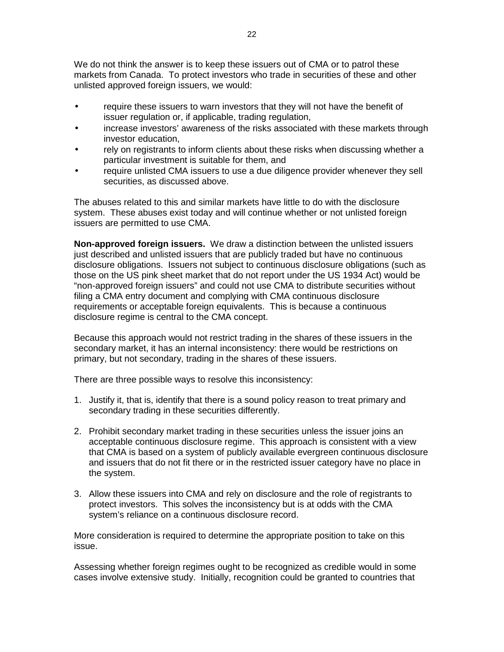We do not think the answer is to keep these issuers out of CMA or to patrol these markets from Canada. To protect investors who trade in securities of these and other unlisted approved foreign issuers, we would:

- require these issuers to warn investors that they will not have the benefit of issuer regulation or, if applicable, trading regulation,
- increase investors' awareness of the risks associated with these markets through investor education,
- rely on registrants to inform clients about these risks when discussing whether a particular investment is suitable for them, and
- require unlisted CMA issuers to use a due diligence provider whenever they sell securities, as discussed above.

The abuses related to this and similar markets have little to do with the disclosure system. These abuses exist today and will continue whether or not unlisted foreign issuers are permitted to use CMA.

**Non-approved foreign issuers.** We draw a distinction between the unlisted issuers just described and unlisted issuers that are publicly traded but have no continuous disclosure obligations. Issuers not subject to continuous disclosure obligations (such as those on the US pink sheet market that do not report under the US 1934 Act) would be "non-approved foreign issuers" and could not use CMA to distribute securities without filing a CMA entry document and complying with CMA continuous disclosure requirements or acceptable foreign equivalents. This is because a continuous disclosure regime is central to the CMA concept.

Because this approach would not restrict trading in the shares of these issuers in the secondary market, it has an internal inconsistency: there would be restrictions on primary, but not secondary, trading in the shares of these issuers.

There are three possible ways to resolve this inconsistency:

- 1. Justify it, that is, identify that there is a sound policy reason to treat primary and secondary trading in these securities differently.
- 2. Prohibit secondary market trading in these securities unless the issuer joins an acceptable continuous disclosure regime. This approach is consistent with a view that CMA is based on a system of publicly available evergreen continuous disclosure and issuers that do not fit there or in the restricted issuer category have no place in the system.
- 3. Allow these issuers into CMA and rely on disclosure and the role of registrants to protect investors. This solves the inconsistency but is at odds with the CMA system's reliance on a continuous disclosure record.

More consideration is required to determine the appropriate position to take on this issue.

Assessing whether foreign regimes ought to be recognized as credible would in some cases involve extensive study. Initially, recognition could be granted to countries that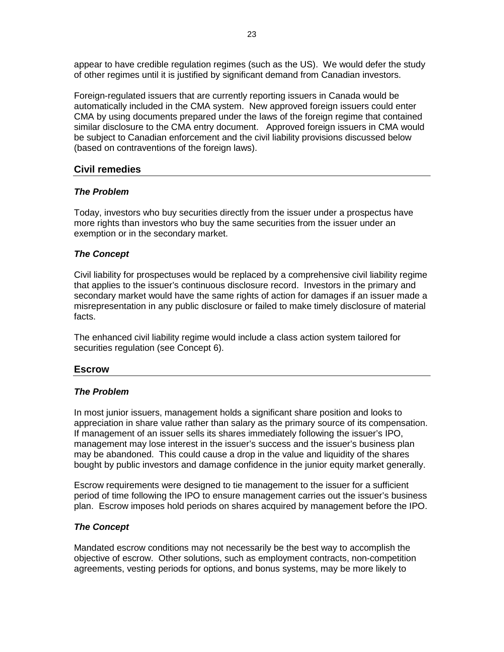appear to have credible regulation regimes (such as the US). We would defer the study of other regimes until it is justified by significant demand from Canadian investors.

Foreign-regulated issuers that are currently reporting issuers in Canada would be automatically included in the CMA system. New approved foreign issuers could enter CMA by using documents prepared under the laws of the foreign regime that contained similar disclosure to the CMA entry document. Approved foreign issuers in CMA would be subject to Canadian enforcement and the civil liability provisions discussed below (based on contraventions of the foreign laws).

# **Civil remedies**

# *The Problem*

Today, investors who buy securities directly from the issuer under a prospectus have more rights than investors who buy the same securities from the issuer under an exemption or in the secondary market.

# *The Concept*

Civil liability for prospectuses would be replaced by a comprehensive civil liability regime that applies to the issuer's continuous disclosure record. Investors in the primary and secondary market would have the same rights of action for damages if an issuer made a misrepresentation in any public disclosure or failed to make timely disclosure of material facts.

The enhanced civil liability regime would include a class action system tailored for securities regulation (see Concept 6).

# **Escrow**

# *The Problem*

In most junior issuers, management holds a significant share position and looks to appreciation in share value rather than salary as the primary source of its compensation. If management of an issuer sells its shares immediately following the issuer's IPO, management may lose interest in the issuer's success and the issuer's business plan may be abandoned. This could cause a drop in the value and liquidity of the shares bought by public investors and damage confidence in the junior equity market generally.

Escrow requirements were designed to tie management to the issuer for a sufficient period of time following the IPO to ensure management carries out the issuer's business plan. Escrow imposes hold periods on shares acquired by management before the IPO.

# *The Concept*

Mandated escrow conditions may not necessarily be the best way to accomplish the objective of escrow. Other solutions, such as employment contracts, non-competition agreements, vesting periods for options, and bonus systems, may be more likely to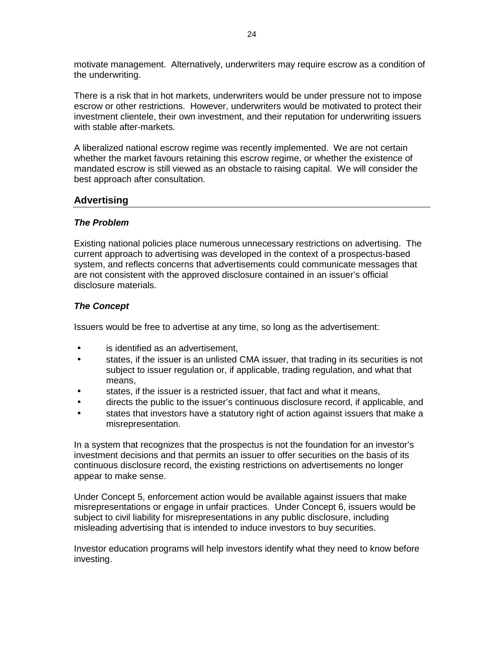motivate management. Alternatively, underwriters may require escrow as a condition of the underwriting.

There is a risk that in hot markets, underwriters would be under pressure not to impose escrow or other restrictions. However, underwriters would be motivated to protect their investment clientele, their own investment, and their reputation for underwriting issuers with stable after-markets.

A liberalized national escrow regime was recently implemented. We are not certain whether the market favours retaining this escrow regime, or whether the existence of mandated escrow is still viewed as an obstacle to raising capital. We will consider the best approach after consultation.

# **Advertising**

#### *The Problem*

Existing national policies place numerous unnecessary restrictions on advertising. The current approach to advertising was developed in the context of a prospectus-based system, and reflects concerns that advertisements could communicate messages that are not consistent with the approved disclosure contained in an issuer's official disclosure materials.

#### *The Concept*

Issuers would be free to advertise at any time, so long as the advertisement:

- is identified as an advertisement,
- states, if the issuer is an unlisted CMA issuer, that trading in its securities is not subject to issuer regulation or, if applicable, trading regulation, and what that means,
- states, if the issuer is a restricted issuer, that fact and what it means,
- directs the public to the issuer's continuous disclosure record, if applicable, and
- states that investors have a statutory right of action against issuers that make a misrepresentation.

In a system that recognizes that the prospectus is not the foundation for an investor's investment decisions and that permits an issuer to offer securities on the basis of its continuous disclosure record, the existing restrictions on advertisements no longer appear to make sense.

Under Concept 5, enforcement action would be available against issuers that make misrepresentations or engage in unfair practices. Under Concept 6, issuers would be subject to civil liability for misrepresentations in any public disclosure, including misleading advertising that is intended to induce investors to buy securities.

Investor education programs will help investors identify what they need to know before investing.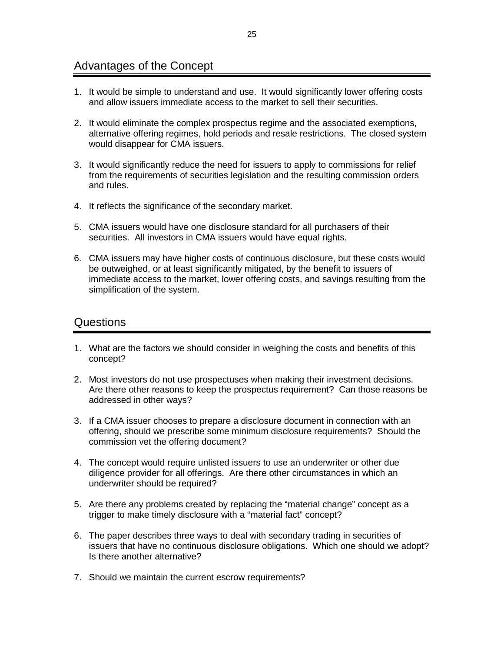# Advantages of the Concept

- 1. It would be simple to understand and use. It would significantly lower offering costs and allow issuers immediate access to the market to sell their securities.
- 2. It would eliminate the complex prospectus regime and the associated exemptions, alternative offering regimes, hold periods and resale restrictions. The closed system would disappear for CMA issuers.
- 3. It would significantly reduce the need for issuers to apply to commissions for relief from the requirements of securities legislation and the resulting commission orders and rules.
- 4. It reflects the significance of the secondary market.
- 5. CMA issuers would have one disclosure standard for all purchasers of their securities. All investors in CMA issuers would have equal rights.
- 6. CMA issuers may have higher costs of continuous disclosure, but these costs would be outweighed, or at least significantly mitigated, by the benefit to issuers of immediate access to the market, lower offering costs, and savings resulting from the simplification of the system.

# Questions

- 1. What are the factors we should consider in weighing the costs and benefits of this concept?
- 2. Most investors do not use prospectuses when making their investment decisions. Are there other reasons to keep the prospectus requirement? Can those reasons be addressed in other ways?
- 3. If a CMA issuer chooses to prepare a disclosure document in connection with an offering, should we prescribe some minimum disclosure requirements? Should the commission vet the offering document?
- 4. The concept would require unlisted issuers to use an underwriter or other due diligence provider for all offerings. Are there other circumstances in which an underwriter should be required?
- 5. Are there any problems created by replacing the "material change" concept as a trigger to make timely disclosure with a "material fact" concept?
- 6. The paper describes three ways to deal with secondary trading in securities of issuers that have no continuous disclosure obligations. Which one should we adopt? Is there another alternative?
- 7. Should we maintain the current escrow requirements?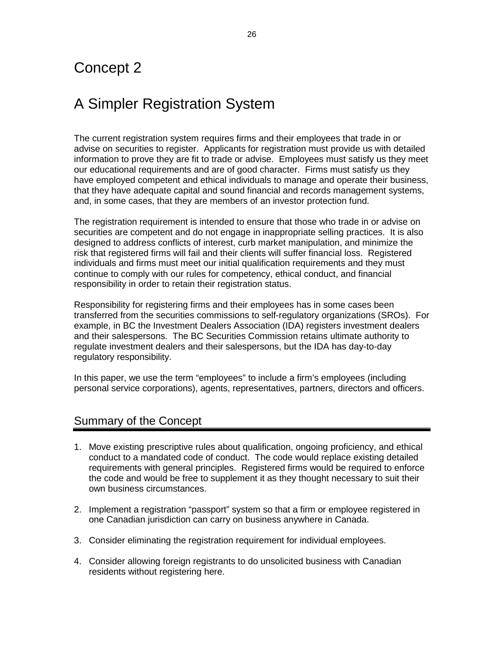# Concept 2

# A Simpler Registration System

The current registration system requires firms and their employees that trade in or advise on securities to register. Applicants for registration must provide us with detailed information to prove they are fit to trade or advise. Employees must satisfy us they meet our educational requirements and are of good character. Firms must satisfy us they have employed competent and ethical individuals to manage and operate their business, that they have adequate capital and sound financial and records management systems, and, in some cases, that they are members of an investor protection fund.

The registration requirement is intended to ensure that those who trade in or advise on securities are competent and do not engage in inappropriate selling practices. It is also designed to address conflicts of interest, curb market manipulation, and minimize the risk that registered firms will fail and their clients will suffer financial loss. Registered individuals and firms must meet our initial qualification requirements and they must continue to comply with our rules for competency, ethical conduct, and financial responsibility in order to retain their registration status.

Responsibility for registering firms and their employees has in some cases been transferred from the securities commissions to self-regulatory organizations (SROs). For example, in BC the Investment Dealers Association (IDA) registers investment dealers and their salespersons. The BC Securities Commission retains ultimate authority to regulate investment dealers and their salespersons, but the IDA has day-to-day regulatory responsibility.

In this paper, we use the term "employees" to include a firm's employees (including personal service corporations), agents, representatives, partners, directors and officers.

# Summary of the Concept

- 1. Move existing prescriptive rules about qualification, ongoing proficiency, and ethical conduct to a mandated code of conduct. The code would replace existing detailed requirements with general principles. Registered firms would be required to enforce the code and would be free to supplement it as they thought necessary to suit their own business circumstances.
- 2. Implement a registration "passport" system so that a firm or employee registered in one Canadian jurisdiction can carry on business anywhere in Canada.
- 3. Consider eliminating the registration requirement for individual employees.
- 4. Consider allowing foreign registrants to do unsolicited business with Canadian residents without registering here.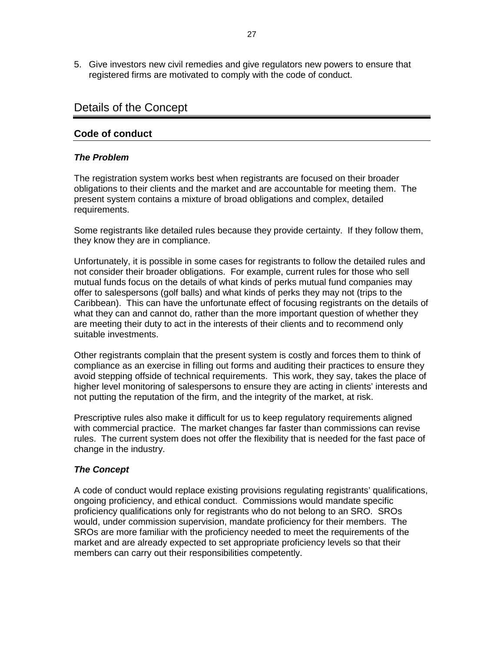5. Give investors new civil remedies and give regulators new powers to ensure that registered firms are motivated to comply with the code of conduct.

# Details of the Concept

# **Code of conduct**

#### *The Problem*

The registration system works best when registrants are focused on their broader obligations to their clients and the market and are accountable for meeting them. The present system contains a mixture of broad obligations and complex, detailed requirements.

Some registrants like detailed rules because they provide certainty. If they follow them, they know they are in compliance.

Unfortunately, it is possible in some cases for registrants to follow the detailed rules and not consider their broader obligations. For example, current rules for those who sell mutual funds focus on the details of what kinds of perks mutual fund companies may offer to salespersons (golf balls) and what kinds of perks they may not (trips to the Caribbean). This can have the unfortunate effect of focusing registrants on the details of what they can and cannot do, rather than the more important question of whether they are meeting their duty to act in the interests of their clients and to recommend only suitable investments.

Other registrants complain that the present system is costly and forces them to think of compliance as an exercise in filling out forms and auditing their practices to ensure they avoid stepping offside of technical requirements. This work, they say, takes the place of higher level monitoring of salespersons to ensure they are acting in clients' interests and not putting the reputation of the firm, and the integrity of the market, at risk.

Prescriptive rules also make it difficult for us to keep regulatory requirements aligned with commercial practice. The market changes far faster than commissions can revise rules. The current system does not offer the flexibility that is needed for the fast pace of change in the industry.

#### *The Concept*

A code of conduct would replace existing provisions regulating registrants' qualifications, ongoing proficiency, and ethical conduct. Commissions would mandate specific proficiency qualifications only for registrants who do not belong to an SRO. SROs would, under commission supervision, mandate proficiency for their members. The SROs are more familiar with the proficiency needed to meet the requirements of the market and are already expected to set appropriate proficiency levels so that their members can carry out their responsibilities competently.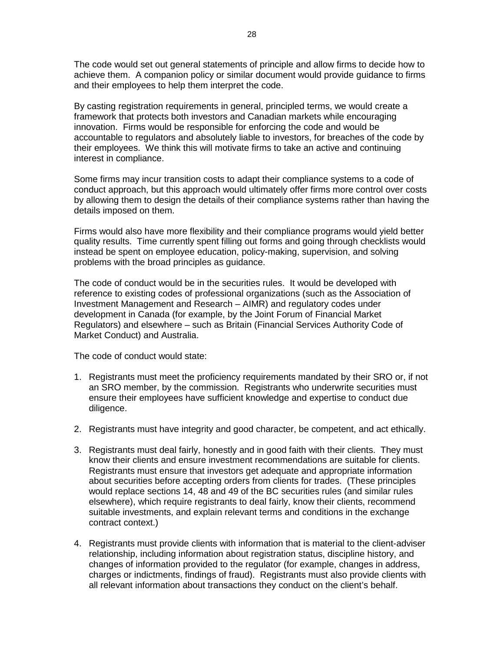The code would set out general statements of principle and allow firms to decide how to achieve them. A companion policy or similar document would provide guidance to firms and their employees to help them interpret the code.

By casting registration requirements in general, principled terms, we would create a framework that protects both investors and Canadian markets while encouraging innovation. Firms would be responsible for enforcing the code and would be accountable to regulators and absolutely liable to investors, for breaches of the code by their employees. We think this will motivate firms to take an active and continuing interest in compliance.

Some firms may incur transition costs to adapt their compliance systems to a code of conduct approach, but this approach would ultimately offer firms more control over costs by allowing them to design the details of their compliance systems rather than having the details imposed on them.

Firms would also have more flexibility and their compliance programs would yield better quality results. Time currently spent filling out forms and going through checklists would instead be spent on employee education, policy-making, supervision, and solving problems with the broad principles as guidance.

The code of conduct would be in the securities rules. It would be developed with reference to existing codes of professional organizations (such as the Association of Investment Management and Research – AIMR) and regulatory codes under development in Canada (for example, by the Joint Forum of Financial Market Regulators) and elsewhere – such as Britain (Financial Services Authority Code of Market Conduct) and Australia.

The code of conduct would state:

- 1. Registrants must meet the proficiency requirements mandated by their SRO or, if not an SRO member, by the commission. Registrants who underwrite securities must ensure their employees have sufficient knowledge and expertise to conduct due diligence.
- 2. Registrants must have integrity and good character, be competent, and act ethically.
- 3. Registrants must deal fairly, honestly and in good faith with their clients. They must know their clients and ensure investment recommendations are suitable for clients. Registrants must ensure that investors get adequate and appropriate information about securities before accepting orders from clients for trades. (These principles would replace sections 14, 48 and 49 of the BC securities rules (and similar rules elsewhere), which require registrants to deal fairly, know their clients, recommend suitable investments, and explain relevant terms and conditions in the exchange contract context.)
- 4. Registrants must provide clients with information that is material to the client-adviser relationship, including information about registration status, discipline history, and changes of information provided to the regulator (for example, changes in address, charges or indictments, findings of fraud). Registrants must also provide clients with all relevant information about transactions they conduct on the client's behalf.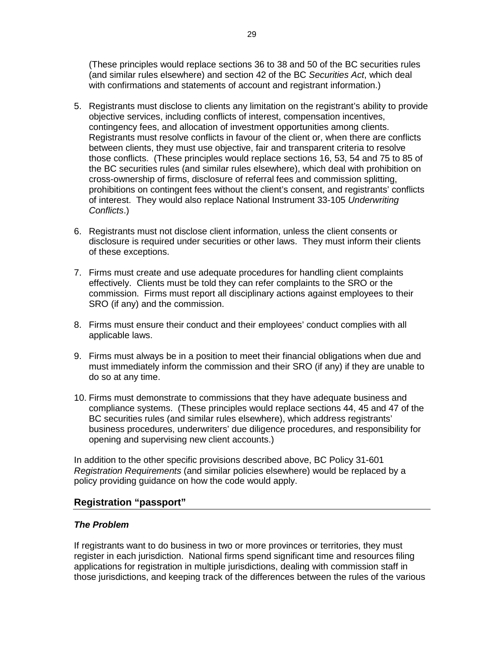(These principles would replace sections 36 to 38 and 50 of the BC securities rules (and similar rules elsewhere) and section 42 of the BC *Securities Act*, which deal with confirmations and statements of account and registrant information.)

- 5. Registrants must disclose to clients any limitation on the registrant's ability to provide objective services, including conflicts of interest, compensation incentives, contingency fees, and allocation of investment opportunities among clients. Registrants must resolve conflicts in favour of the client or, when there are conflicts between clients, they must use objective, fair and transparent criteria to resolve those conflicts. (These principles would replace sections 16, 53, 54 and 75 to 85 of the BC securities rules (and similar rules elsewhere), which deal with prohibition on cross-ownership of firms, disclosure of referral fees and commission splitting, prohibitions on contingent fees without the client's consent, and registrants' conflicts of interest. They would also replace National Instrument 33-105 *Underwriting Conflicts*.)
- 6. Registrants must not disclose client information, unless the client consents or disclosure is required under securities or other laws. They must inform their clients of these exceptions.
- 7. Firms must create and use adequate procedures for handling client complaints effectively. Clients must be told they can refer complaints to the SRO or the commission. Firms must report all disciplinary actions against employees to their SRO (if any) and the commission.
- 8. Firms must ensure their conduct and their employees' conduct complies with all applicable laws.
- 9. Firms must always be in a position to meet their financial obligations when due and must immediately inform the commission and their SRO (if any) if they are unable to do so at any time.
- 10. Firms must demonstrate to commissions that they have adequate business and compliance systems. (These principles would replace sections 44, 45 and 47 of the BC securities rules (and similar rules elsewhere), which address registrants' business procedures, underwriters' due diligence procedures, and responsibility for opening and supervising new client accounts.)

In addition to the other specific provisions described above, BC Policy 31-601 *Registration Requirements* (and similar policies elsewhere) would be replaced by a policy providing guidance on how the code would apply.

# **Registration "passport"**

# *The Problem*

If registrants want to do business in two or more provinces or territories, they must register in each jurisdiction. National firms spend significant time and resources filing applications for registration in multiple jurisdictions, dealing with commission staff in those jurisdictions, and keeping track of the differences between the rules of the various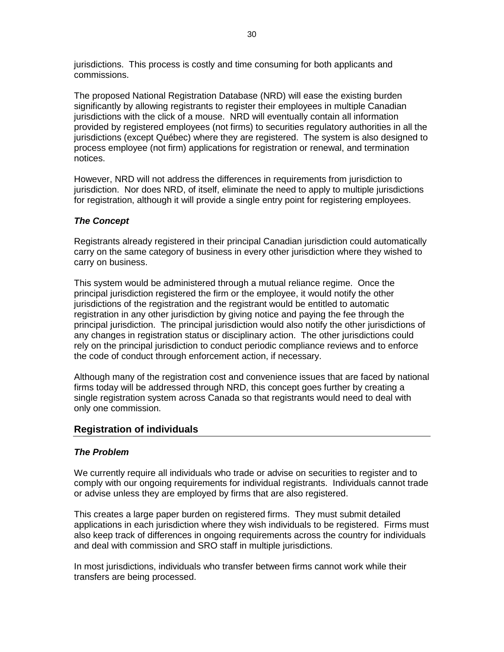jurisdictions. This process is costly and time consuming for both applicants and commissions.

The proposed National Registration Database (NRD) will ease the existing burden significantly by allowing registrants to register their employees in multiple Canadian jurisdictions with the click of a mouse. NRD will eventually contain all information provided by registered employees (not firms) to securities regulatory authorities in all the jurisdictions (except Québec) where they are registered. The system is also designed to process employee (not firm) applications for registration or renewal, and termination notices.

However, NRD will not address the differences in requirements from jurisdiction to jurisdiction. Nor does NRD, of itself, eliminate the need to apply to multiple jurisdictions for registration, although it will provide a single entry point for registering employees.

#### *The Concept*

Registrants already registered in their principal Canadian jurisdiction could automatically carry on the same category of business in every other jurisdiction where they wished to carry on business.

This system would be administered through a mutual reliance regime. Once the principal jurisdiction registered the firm or the employee, it would notify the other jurisdictions of the registration and the registrant would be entitled to automatic registration in any other jurisdiction by giving notice and paying the fee through the principal jurisdiction. The principal jurisdiction would also notify the other jurisdictions of any changes in registration status or disciplinary action. The other jurisdictions could rely on the principal jurisdiction to conduct periodic compliance reviews and to enforce the code of conduct through enforcement action, if necessary.

Although many of the registration cost and convenience issues that are faced by national firms today will be addressed through NRD, this concept goes further by creating a single registration system across Canada so that registrants would need to deal with only one commission.

# **Registration of individuals**

#### *The Problem*

We currently require all individuals who trade or advise on securities to register and to comply with our ongoing requirements for individual registrants. Individuals cannot trade or advise unless they are employed by firms that are also registered.

This creates a large paper burden on registered firms. They must submit detailed applications in each jurisdiction where they wish individuals to be registered. Firms must also keep track of differences in ongoing requirements across the country for individuals and deal with commission and SRO staff in multiple jurisdictions.

In most jurisdictions, individuals who transfer between firms cannot work while their transfers are being processed.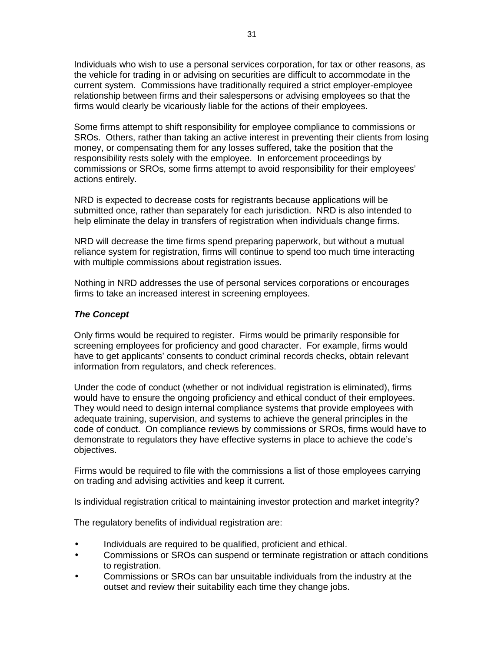Individuals who wish to use a personal services corporation, for tax or other reasons, as the vehicle for trading in or advising on securities are difficult to accommodate in the current system. Commissions have traditionally required a strict employer-employee relationship between firms and their salespersons or advising employees so that the firms would clearly be vicariously liable for the actions of their employees.

Some firms attempt to shift responsibility for employee compliance to commissions or SROs. Others, rather than taking an active interest in preventing their clients from losing money, or compensating them for any losses suffered, take the position that the responsibility rests solely with the employee. In enforcement proceedings by commissions or SROs, some firms attempt to avoid responsibility for their employees' actions entirely.

NRD is expected to decrease costs for registrants because applications will be submitted once, rather than separately for each jurisdiction. NRD is also intended to help eliminate the delay in transfers of registration when individuals change firms.

NRD will decrease the time firms spend preparing paperwork, but without a mutual reliance system for registration, firms will continue to spend too much time interacting with multiple commissions about registration issues.

Nothing in NRD addresses the use of personal services corporations or encourages firms to take an increased interest in screening employees.

#### *The Concept*

Only firms would be required to register. Firms would be primarily responsible for screening employees for proficiency and good character. For example, firms would have to get applicants' consents to conduct criminal records checks, obtain relevant information from regulators, and check references.

Under the code of conduct (whether or not individual registration is eliminated), firms would have to ensure the ongoing proficiency and ethical conduct of their employees. They would need to design internal compliance systems that provide employees with adequate training, supervision, and systems to achieve the general principles in the code of conduct. On compliance reviews by commissions or SROs, firms would have to demonstrate to regulators they have effective systems in place to achieve the code's objectives.

Firms would be required to file with the commissions a list of those employees carrying on trading and advising activities and keep it current.

Is individual registration critical to maintaining investor protection and market integrity?

The regulatory benefits of individual registration are:

- Individuals are required to be qualified, proficient and ethical.
- Commissions or SROs can suspend or terminate registration or attach conditions to registration.
- Commissions or SROs can bar unsuitable individuals from the industry at the outset and review their suitability each time they change jobs.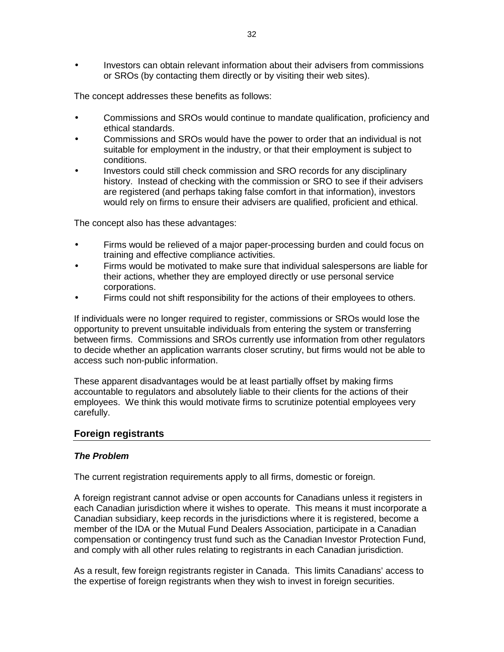• Investors can obtain relevant information about their advisers from commissions or SROs (by contacting them directly or by visiting their web sites).

The concept addresses these benefits as follows:

- Commissions and SROs would continue to mandate qualification, proficiency and ethical standards.
- Commissions and SROs would have the power to order that an individual is not suitable for employment in the industry, or that their employment is subject to conditions.
- Investors could still check commission and SRO records for any disciplinary history. Instead of checking with the commission or SRO to see if their advisers are registered (and perhaps taking false comfort in that information), investors would rely on firms to ensure their advisers are qualified, proficient and ethical.

The concept also has these advantages:

- Firms would be relieved of a major paper-processing burden and could focus on training and effective compliance activities.
- Firms would be motivated to make sure that individual salespersons are liable for their actions, whether they are employed directly or use personal service corporations.
- Firms could not shift responsibility for the actions of their employees to others.

If individuals were no longer required to register, commissions or SROs would lose the opportunity to prevent unsuitable individuals from entering the system or transferring between firms. Commissions and SROs currently use information from other regulators to decide whether an application warrants closer scrutiny, but firms would not be able to access such non-public information.

These apparent disadvantages would be at least partially offset by making firms accountable to regulators and absolutely liable to their clients for the actions of their employees. We think this would motivate firms to scrutinize potential employees very carefully.

# **Foreign registrants**

#### *The Problem*

The current registration requirements apply to all firms, domestic or foreign.

A foreign registrant cannot advise or open accounts for Canadians unless it registers in each Canadian jurisdiction where it wishes to operate. This means it must incorporate a Canadian subsidiary, keep records in the jurisdictions where it is registered, become a member of the IDA or the Mutual Fund Dealers Association, participate in a Canadian compensation or contingency trust fund such as the Canadian Investor Protection Fund, and comply with all other rules relating to registrants in each Canadian jurisdiction.

As a result, few foreign registrants register in Canada. This limits Canadians' access to the expertise of foreign registrants when they wish to invest in foreign securities.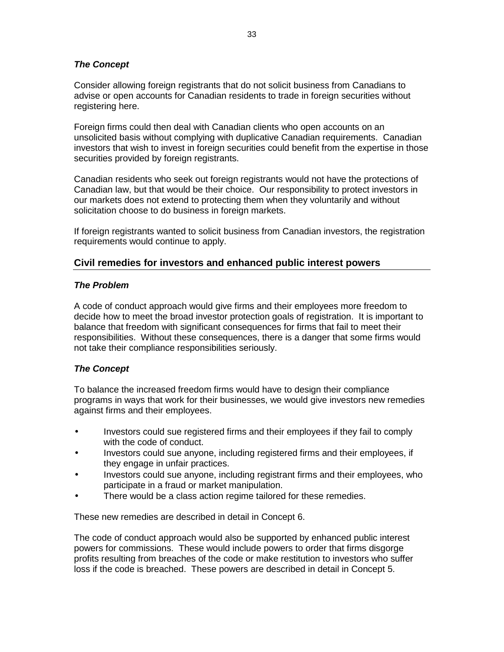# *The Concept*

Consider allowing foreign registrants that do not solicit business from Canadians to advise or open accounts for Canadian residents to trade in foreign securities without registering here.

Foreign firms could then deal with Canadian clients who open accounts on an unsolicited basis without complying with duplicative Canadian requirements. Canadian investors that wish to invest in foreign securities could benefit from the expertise in those securities provided by foreign registrants.

Canadian residents who seek out foreign registrants would not have the protections of Canadian law, but that would be their choice. Our responsibility to protect investors in our markets does not extend to protecting them when they voluntarily and without solicitation choose to do business in foreign markets.

If foreign registrants wanted to solicit business from Canadian investors, the registration requirements would continue to apply.

# **Civil remedies for investors and enhanced public interest powers**

#### *The Problem*

A code of conduct approach would give firms and their employees more freedom to decide how to meet the broad investor protection goals of registration. It is important to balance that freedom with significant consequences for firms that fail to meet their responsibilities. Without these consequences, there is a danger that some firms would not take their compliance responsibilities seriously.

# *The Concept*

To balance the increased freedom firms would have to design their compliance programs in ways that work for their businesses, we would give investors new remedies against firms and their employees.

- Investors could sue registered firms and their employees if they fail to comply with the code of conduct.
- Investors could sue anyone, including registered firms and their employees, if they engage in unfair practices.
- Investors could sue anyone, including registrant firms and their employees, who participate in a fraud or market manipulation.
- There would be a class action regime tailored for these remedies.

These new remedies are described in detail in Concept 6.

The code of conduct approach would also be supported by enhanced public interest powers for commissions. These would include powers to order that firms disgorge profits resulting from breaches of the code or make restitution to investors who suffer loss if the code is breached. These powers are described in detail in Concept 5.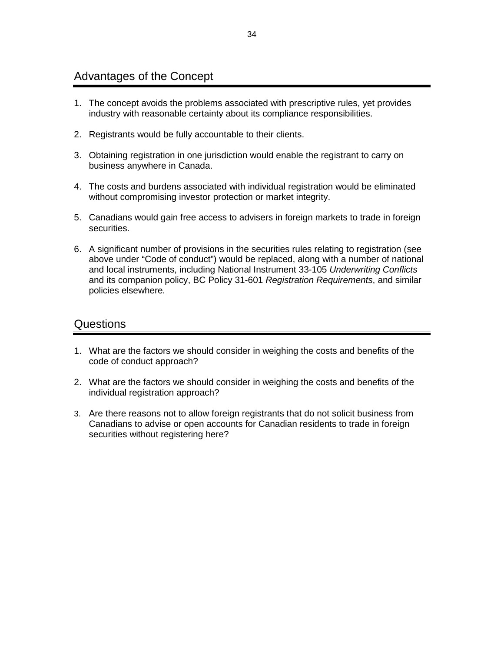# Advantages of the Concept

- 1. The concept avoids the problems associated with prescriptive rules, yet provides industry with reasonable certainty about its compliance responsibilities.
- 2. Registrants would be fully accountable to their clients.
- 3. Obtaining registration in one jurisdiction would enable the registrant to carry on business anywhere in Canada.
- 4. The costs and burdens associated with individual registration would be eliminated without compromising investor protection or market integrity.
- 5. Canadians would gain free access to advisers in foreign markets to trade in foreign securities.
- 6. A significant number of provisions in the securities rules relating to registration (see above under "Code of conduct") would be replaced, along with a number of national and local instruments, including National Instrument 33-105 *Underwriting Conflicts* and its companion policy, BC Policy 31-601 *Registration Requirements*, and similar policies elsewhere*.*

# Questions

- 1. What are the factors we should consider in weighing the costs and benefits of the code of conduct approach?
- 2. What are the factors we should consider in weighing the costs and benefits of the individual registration approach?
- 3. Are there reasons not to allow foreign registrants that do not solicit business from Canadians to advise or open accounts for Canadian residents to trade in foreign securities without registering here?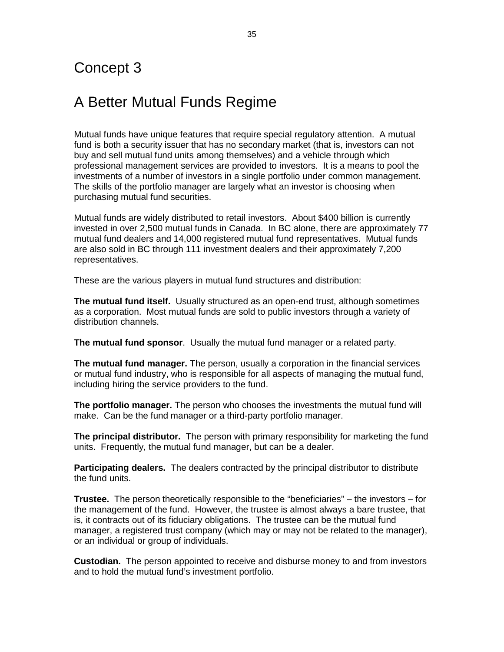# Concept 3

# A Better Mutual Funds Regime

Mutual funds have unique features that require special regulatory attention. A mutual fund is both a security issuer that has no secondary market (that is, investors can not buy and sell mutual fund units among themselves) and a vehicle through which professional management services are provided to investors. It is a means to pool the investments of a number of investors in a single portfolio under common management. The skills of the portfolio manager are largely what an investor is choosing when purchasing mutual fund securities.

Mutual funds are widely distributed to retail investors. About \$400 billion is currently invested in over 2,500 mutual funds in Canada. In BC alone, there are approximately 77 mutual fund dealers and 14,000 registered mutual fund representatives. Mutual funds are also sold in BC through 111 investment dealers and their approximately 7,200 representatives.

These are the various players in mutual fund structures and distribution:

**The mutual fund itself.** Usually structured as an open-end trust, although sometimes as a corporation. Most mutual funds are sold to public investors through a variety of distribution channels.

**The mutual fund sponsor**. Usually the mutual fund manager or a related party.

**The mutual fund manager.** The person, usually a corporation in the financial services or mutual fund industry, who is responsible for all aspects of managing the mutual fund, including hiring the service providers to the fund.

**The portfolio manager.** The person who chooses the investments the mutual fund will make. Can be the fund manager or a third-party portfolio manager.

**The principal distributor.** The person with primary responsibility for marketing the fund units. Frequently, the mutual fund manager, but can be a dealer.

**Participating dealers.** The dealers contracted by the principal distributor to distribute the fund units.

**Trustee.** The person theoretically responsible to the "beneficiaries" – the investors – for the management of the fund. However, the trustee is almost always a bare trustee, that is, it contracts out of its fiduciary obligations. The trustee can be the mutual fund manager, a registered trust company (which may or may not be related to the manager), or an individual or group of individuals.

**Custodian.** The person appointed to receive and disburse money to and from investors and to hold the mutual fund's investment portfolio.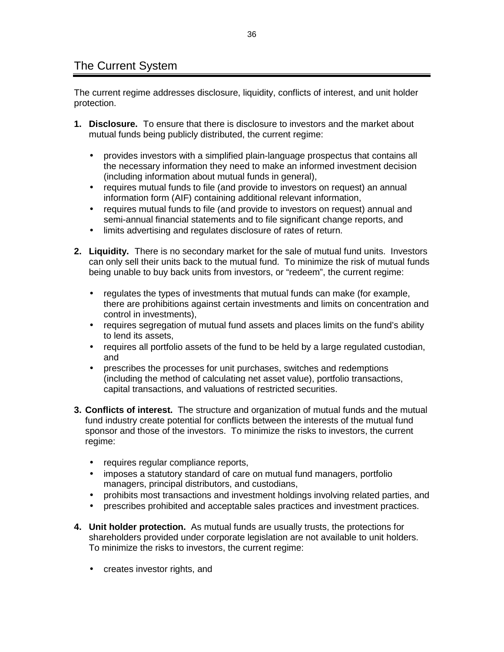The current regime addresses disclosure, liquidity, conflicts of interest, and unit holder protection.

- **1. Disclosure.** To ensure that there is disclosure to investors and the market about mutual funds being publicly distributed, the current regime:
	- provides investors with a simplified plain-language prospectus that contains all the necessary information they need to make an informed investment decision (including information about mutual funds in general),
	- requires mutual funds to file (and provide to investors on request) an annual information form (AIF) containing additional relevant information,
	- requires mutual funds to file (and provide to investors on request) annual and semi-annual financial statements and to file significant change reports, and
	- limits advertising and regulates disclosure of rates of return.
- **2. Liquidity.** There is no secondary market for the sale of mutual fund units. Investors can only sell their units back to the mutual fund. To minimize the risk of mutual funds being unable to buy back units from investors, or "redeem", the current regime:
	- regulates the types of investments that mutual funds can make (for example, there are prohibitions against certain investments and limits on concentration and control in investments),
	- requires segregation of mutual fund assets and places limits on the fund's ability to lend its assets,
	- requires all portfolio assets of the fund to be held by a large regulated custodian, and
	- prescribes the processes for unit purchases, switches and redemptions (including the method of calculating net asset value), portfolio transactions, capital transactions, and valuations of restricted securities.
- **3. Conflicts of interest.** The structure and organization of mutual funds and the mutual fund industry create potential for conflicts between the interests of the mutual fund sponsor and those of the investors. To minimize the risks to investors, the current regime:
	- requires requiar compliance reports,
	- imposes a statutory standard of care on mutual fund managers, portfolio managers, principal distributors, and custodians,
	- prohibits most transactions and investment holdings involving related parties, and
	- prescribes prohibited and acceptable sales practices and investment practices.
- **4. Unit holder protection.** As mutual funds are usually trusts, the protections for shareholders provided under corporate legislation are not available to unit holders. To minimize the risks to investors, the current regime:
	- creates investor rights, and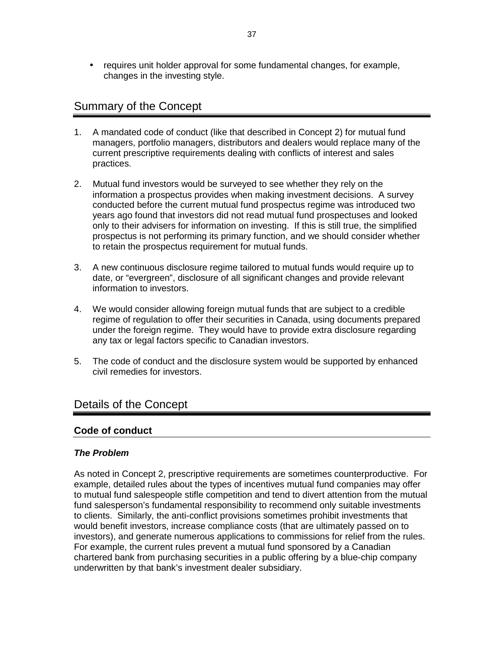• requires unit holder approval for some fundamental changes, for example, changes in the investing style.

# Summary of the Concept

- 1. A mandated code of conduct (like that described in Concept 2) for mutual fund managers, portfolio managers, distributors and dealers would replace many of the current prescriptive requirements dealing with conflicts of interest and sales practices.
- 2. Mutual fund investors would be surveyed to see whether they rely on the information a prospectus provides when making investment decisions. A survey conducted before the current mutual fund prospectus regime was introduced two years ago found that investors did not read mutual fund prospectuses and looked only to their advisers for information on investing. If this is still true, the simplified prospectus is not performing its primary function, and we should consider whether to retain the prospectus requirement for mutual funds.
- 3. A new continuous disclosure regime tailored to mutual funds would require up to date, or "evergreen", disclosure of all significant changes and provide relevant information to investors.
- 4. We would consider allowing foreign mutual funds that are subject to a credible regime of regulation to offer their securities in Canada, using documents prepared under the foreign regime. They would have to provide extra disclosure regarding any tax or legal factors specific to Canadian investors.
- 5. The code of conduct and the disclosure system would be supported by enhanced civil remedies for investors.

# Details of the Concept

# **Code of conduct**

# *The Problem*

As noted in Concept 2, prescriptive requirements are sometimes counterproductive. For example, detailed rules about the types of incentives mutual fund companies may offer to mutual fund salespeople stifle competition and tend to divert attention from the mutual fund salesperson's fundamental responsibility to recommend only suitable investments to clients. Similarly, the anti-conflict provisions sometimes prohibit investments that would benefit investors, increase compliance costs (that are ultimately passed on to investors), and generate numerous applications to commissions for relief from the rules. For example, the current rules prevent a mutual fund sponsored by a Canadian chartered bank from purchasing securities in a public offering by a blue-chip company underwritten by that bank's investment dealer subsidiary.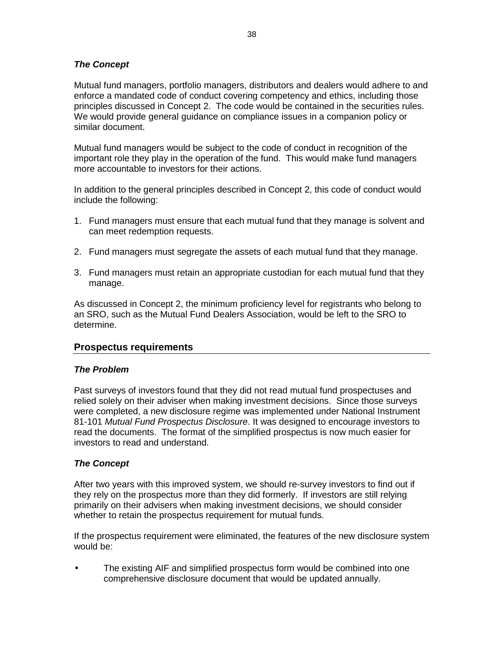# *The Concept*

Mutual fund managers, portfolio managers, distributors and dealers would adhere to and enforce a mandated code of conduct covering competency and ethics, including those principles discussed in Concept 2. The code would be contained in the securities rules. We would provide general guidance on compliance issues in a companion policy or similar document.

Mutual fund managers would be subject to the code of conduct in recognition of the important role they play in the operation of the fund. This would make fund managers more accountable to investors for their actions.

In addition to the general principles described in Concept 2, this code of conduct would include the following:

- 1. Fund managers must ensure that each mutual fund that they manage is solvent and can meet redemption requests.
- 2. Fund managers must segregate the assets of each mutual fund that they manage.
- 3. Fund managers must retain an appropriate custodian for each mutual fund that they manage.

As discussed in Concept 2, the minimum proficiency level for registrants who belong to an SRO, such as the Mutual Fund Dealers Association, would be left to the SRO to determine.

# **Prospectus requirements**

# *The Problem*

Past surveys of investors found that they did not read mutual fund prospectuses and relied solely on their adviser when making investment decisions. Since those surveys were completed, a new disclosure regime was implemented under National Instrument 81-101 *Mutual Fund Prospectus Disclosure*. It was designed to encourage investors to read the documents. The format of the simplified prospectus is now much easier for investors to read and understand.

# *The Concept*

After two years with this improved system, we should re-survey investors to find out if they rely on the prospectus more than they did formerly. If investors are still relying primarily on their advisers when making investment decisions, we should consider whether to retain the prospectus requirement for mutual funds.

If the prospectus requirement were eliminated, the features of the new disclosure system would be:

The existing AIF and simplified prospectus form would be combined into one comprehensive disclosure document that would be updated annually.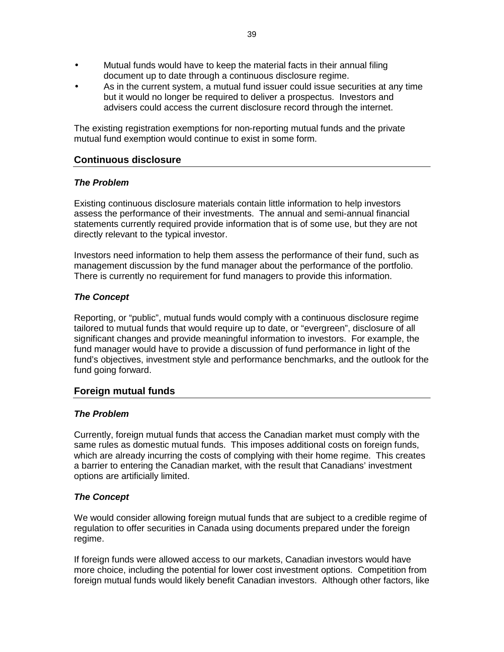- Mutual funds would have to keep the material facts in their annual filing document up to date through a continuous disclosure regime.
- As in the current system, a mutual fund issuer could issue securities at any time but it would no longer be required to deliver a prospectus. Investors and advisers could access the current disclosure record through the internet.

The existing registration exemptions for non-reporting mutual funds and the private mutual fund exemption would continue to exist in some form.

### **Continuous disclosure**

#### *The Problem*

Existing continuous disclosure materials contain little information to help investors assess the performance of their investments. The annual and semi-annual financial statements currently required provide information that is of some use, but they are not directly relevant to the typical investor.

Investors need information to help them assess the performance of their fund, such as management discussion by the fund manager about the performance of the portfolio. There is currently no requirement for fund managers to provide this information.

#### *The Concept*

Reporting, or "public", mutual funds would comply with a continuous disclosure regime tailored to mutual funds that would require up to date, or "evergreen", disclosure of all significant changes and provide meaningful information to investors. For example, the fund manager would have to provide a discussion of fund performance in light of the fund's objectives, investment style and performance benchmarks, and the outlook for the fund going forward.

#### **Foreign mutual funds**

#### *The Problem*

Currently, foreign mutual funds that access the Canadian market must comply with the same rules as domestic mutual funds. This imposes additional costs on foreign funds, which are already incurring the costs of complying with their home regime. This creates a barrier to entering the Canadian market, with the result that Canadians' investment options are artificially limited.

#### *The Concept*

We would consider allowing foreign mutual funds that are subject to a credible regime of regulation to offer securities in Canada using documents prepared under the foreign regime.

If foreign funds were allowed access to our markets, Canadian investors would have more choice, including the potential for lower cost investment options. Competition from foreign mutual funds would likely benefit Canadian investors. Although other factors, like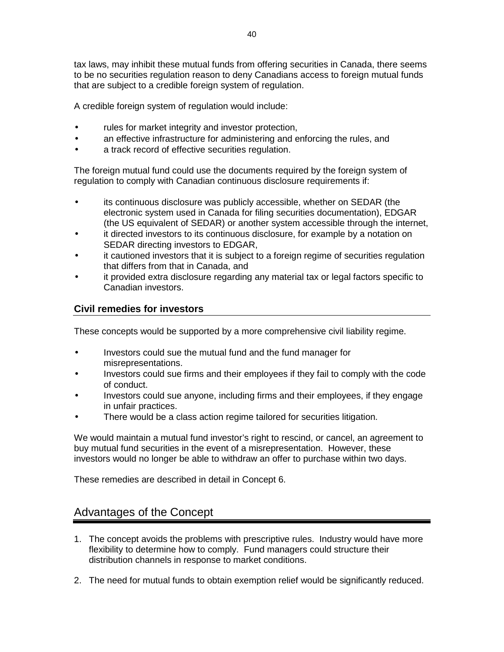tax laws, may inhibit these mutual funds from offering securities in Canada, there seems to be no securities regulation reason to deny Canadians access to foreign mutual funds that are subject to a credible foreign system of regulation.

A credible foreign system of regulation would include:

- rules for market integrity and investor protection,
- an effective infrastructure for administering and enforcing the rules, and
- a track record of effective securities regulation.

The foreign mutual fund could use the documents required by the foreign system of regulation to comply with Canadian continuous disclosure requirements if:

- its continuous disclosure was publicly accessible, whether on SEDAR (the electronic system used in Canada for filing securities documentation), EDGAR (the US equivalent of SEDAR) or another system accessible through the internet,
- it directed investors to its continuous disclosure, for example by a notation on SEDAR directing investors to EDGAR,
- it cautioned investors that it is subject to a foreign regime of securities regulation that differs from that in Canada, and
- it provided extra disclosure regarding any material tax or legal factors specific to Canadian investors.

# **Civil remedies for investors**

These concepts would be supported by a more comprehensive civil liability regime.

- Investors could sue the mutual fund and the fund manager for misrepresentations.
- Investors could sue firms and their employees if they fail to comply with the code of conduct.
- Investors could sue anyone, including firms and their employees, if they engage in unfair practices.
- There would be a class action regime tailored for securities litigation.

We would maintain a mutual fund investor's right to rescind, or cancel, an agreement to buy mutual fund securities in the event of a misrepresentation. However, these investors would no longer be able to withdraw an offer to purchase within two days.

These remedies are described in detail in Concept 6.

# Advantages of the Concept

- 1. The concept avoids the problems with prescriptive rules. Industry would have more flexibility to determine how to comply. Fund managers could structure their distribution channels in response to market conditions.
- 2. The need for mutual funds to obtain exemption relief would be significantly reduced.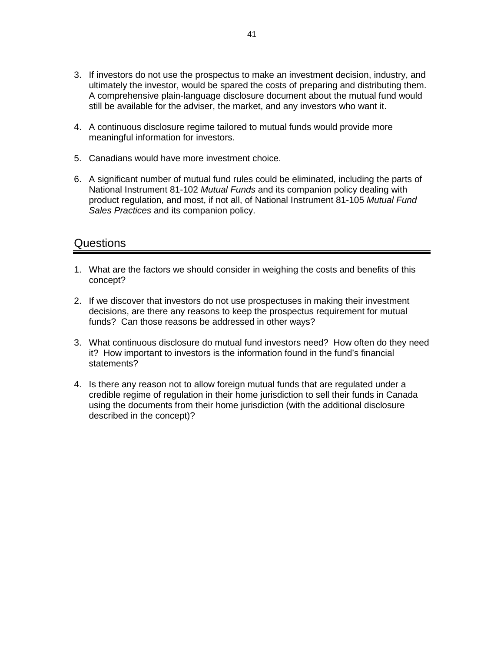- 3. If investors do not use the prospectus to make an investment decision, industry, and ultimately the investor, would be spared the costs of preparing and distributing them. A comprehensive plain-language disclosure document about the mutual fund would still be available for the adviser, the market, and any investors who want it.
- 4. A continuous disclosure regime tailored to mutual funds would provide more meaningful information for investors.
- 5. Canadians would have more investment choice.
- 6. A significant number of mutual fund rules could be eliminated, including the parts of National Instrument 81-102 *Mutual Funds* and its companion policy dealing with product regulation, and most, if not all, of National Instrument 81-105 *Mutual Fund Sales Practices* and its companion policy.

# **Questions**

- 1. What are the factors we should consider in weighing the costs and benefits of this concept?
- 2. If we discover that investors do not use prospectuses in making their investment decisions, are there any reasons to keep the prospectus requirement for mutual funds? Can those reasons be addressed in other ways?
- 3. What continuous disclosure do mutual fund investors need? How often do they need it? How important to investors is the information found in the fund's financial statements?
- 4. Is there any reason not to allow foreign mutual funds that are regulated under a credible regime of regulation in their home jurisdiction to sell their funds in Canada using the documents from their home jurisdiction (with the additional disclosure described in the concept)?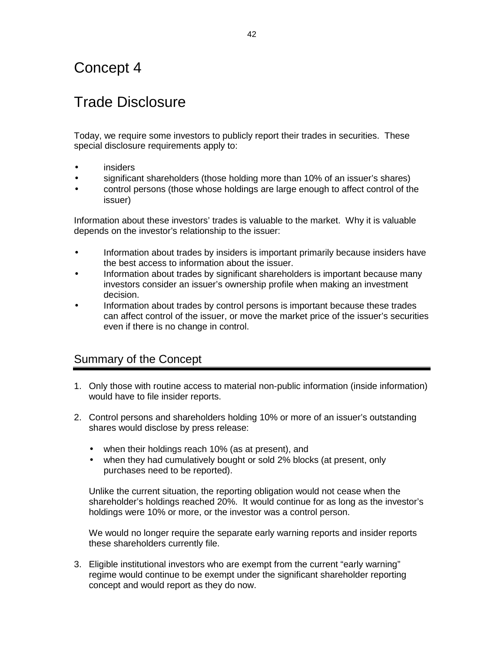# Concept 4

# Trade Disclosure

Today, we require some investors to publicly report their trades in securities. These special disclosure requirements apply to:

- insiders
- significant shareholders (those holding more than 10% of an issuer's shares)
- control persons (those whose holdings are large enough to affect control of the issuer)

Information about these investors' trades is valuable to the market. Why it is valuable depends on the investor's relationship to the issuer:

- Information about trades by insiders is important primarily because insiders have the best access to information about the issuer.
- Information about trades by significant shareholders is important because many investors consider an issuer's ownership profile when making an investment decision.
- Information about trades by control persons is important because these trades can affect control of the issuer, or move the market price of the issuer's securities even if there is no change in control.

# Summary of the Concept

- 1. Only those with routine access to material non-public information (inside information) would have to file insider reports.
- 2. Control persons and shareholders holding 10% or more of an issuer's outstanding shares would disclose by press release:
	- when their holdings reach 10% (as at present), and
	- when they had cumulatively bought or sold 2% blocks (at present, only purchases need to be reported).

Unlike the current situation, the reporting obligation would not cease when the shareholder's holdings reached 20%. It would continue for as long as the investor's holdings were 10% or more, or the investor was a control person.

We would no longer require the separate early warning reports and insider reports these shareholders currently file.

3. Eligible institutional investors who are exempt from the current "early warning" regime would continue to be exempt under the significant shareholder reporting concept and would report as they do now.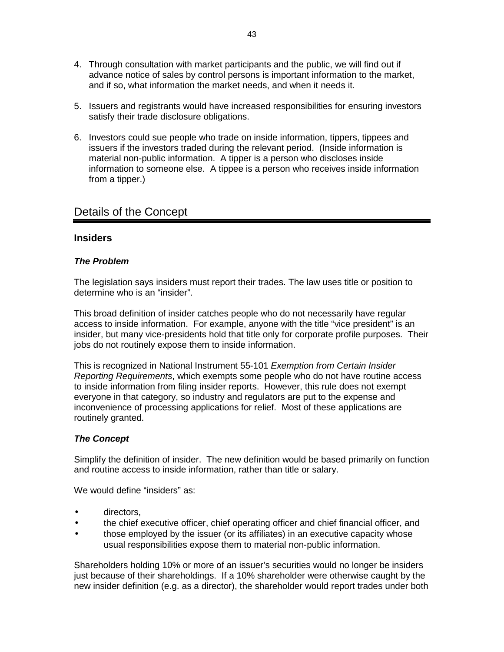- 4. Through consultation with market participants and the public, we will find out if advance notice of sales by control persons is important information to the market, and if so, what information the market needs, and when it needs it.
- 5. Issuers and registrants would have increased responsibilities for ensuring investors satisfy their trade disclosure obligations.
- 6. Investors could sue people who trade on inside information, tippers, tippees and issuers if the investors traded during the relevant period. (Inside information is material non-public information. A tipper is a person who discloses inside information to someone else. A tippee is a person who receives inside information from a tipper.)

# Details of the Concept

# **Insiders**

# *The Problem*

The legislation says insiders must report their trades. The law uses title or position to determine who is an "insider".

This broad definition of insider catches people who do not necessarily have regular access to inside information. For example, anyone with the title "vice president" is an insider, but many vice-presidents hold that title only for corporate profile purposes. Their jobs do not routinely expose them to inside information.

This is recognized in National Instrument 55-101 *Exemption from Certain Insider Reporting Requirements*, which exempts some people who do not have routine access to inside information from filing insider reports. However, this rule does not exempt everyone in that category, so industry and regulators are put to the expense and inconvenience of processing applications for relief. Most of these applications are routinely granted.

# *The Concept*

Simplify the definition of insider. The new definition would be based primarily on function and routine access to inside information, rather than title or salary.

We would define "insiders" as:

- directors,
- the chief executive officer, chief operating officer and chief financial officer, and
- those employed by the issuer (or its affiliates) in an executive capacity whose usual responsibilities expose them to material non-public information.

Shareholders holding 10% or more of an issuer's securities would no longer be insiders just because of their shareholdings. If a 10% shareholder were otherwise caught by the new insider definition (e.g. as a director), the shareholder would report trades under both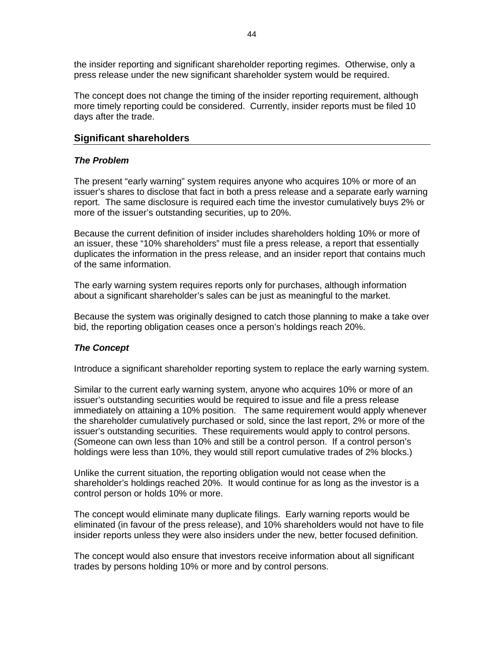the insider reporting and significant shareholder reporting regimes. Otherwise, only a press release under the new significant shareholder system would be required.

The concept does not change the timing of the insider reporting requirement, although more timely reporting could be considered. Currently, insider reports must be filed 10 days after the trade.

### **Significant shareholders**

#### *The Problem*

The present "early warning" system requires anyone who acquires 10% or more of an issuer's shares to disclose that fact in both a press release and a separate early warning report. The same disclosure is required each time the investor cumulatively buys 2% or more of the issuer's outstanding securities, up to 20%.

Because the current definition of insider includes shareholders holding 10% or more of an issuer, these "10% shareholders" must file a press release, a report that essentially duplicates the information in the press release, and an insider report that contains much of the same information.

The early warning system requires reports only for purchases, although information about a significant shareholder's sales can be just as meaningful to the market.

Because the system was originally designed to catch those planning to make a take over bid, the reporting obligation ceases once a person's holdings reach 20%.

#### *The Concept*

Introduce a significant shareholder reporting system to replace the early warning system.

Similar to the current early warning system, anyone who acquires 10% or more of an issuer's outstanding securities would be required to issue and file a press release immediately on attaining a 10% position. The same requirement would apply whenever the shareholder cumulatively purchased or sold, since the last report, 2% or more of the issuer's outstanding securities. These requirements would apply to control persons. (Someone can own less than 10% and still be a control person. If a control person's holdings were less than 10%, they would still report cumulative trades of 2% blocks.)

Unlike the current situation, the reporting obligation would not cease when the shareholder's holdings reached 20%. It would continue for as long as the investor is a control person or holds 10% or more.

The concept would eliminate many duplicate filings. Early warning reports would be eliminated (in favour of the press release), and 10% shareholders would not have to file insider reports unless they were also insiders under the new, better focused definition.

The concept would also ensure that investors receive information about all significant trades by persons holding 10% or more and by control persons.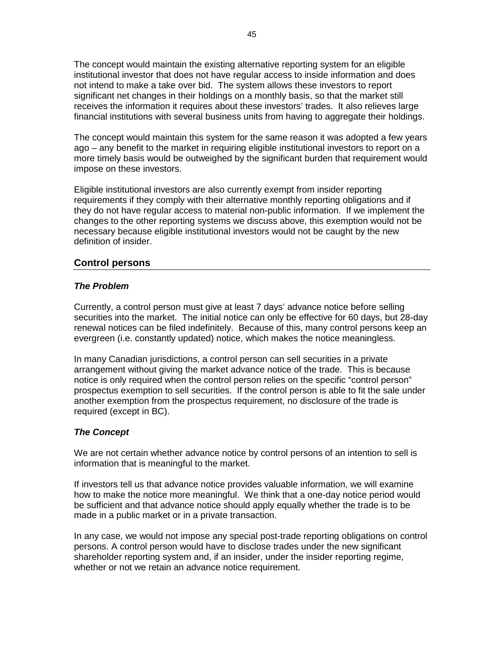The concept would maintain the existing alternative reporting system for an eligible institutional investor that does not have regular access to inside information and does not intend to make a take over bid. The system allows these investors to report significant net changes in their holdings on a monthly basis, so that the market still receives the information it requires about these investors' trades. It also relieves large financial institutions with several business units from having to aggregate their holdings.

The concept would maintain this system for the same reason it was adopted a few years ago – any benefit to the market in requiring eligible institutional investors to report on a more timely basis would be outweighed by the significant burden that requirement would impose on these investors.

Eligible institutional investors are also currently exempt from insider reporting requirements if they comply with their alternative monthly reporting obligations and if they do not have regular access to material non-public information. If we implement the changes to the other reporting systems we discuss above, this exemption would not be necessary because eligible institutional investors would not be caught by the new definition of insider.

# **Control persons**

#### *The Problem*

Currently, a control person must give at least 7 days' advance notice before selling securities into the market. The initial notice can only be effective for 60 days, but 28-day renewal notices can be filed indefinitely. Because of this, many control persons keep an evergreen (i.e. constantly updated) notice, which makes the notice meaningless.

In many Canadian jurisdictions, a control person can sell securities in a private arrangement without giving the market advance notice of the trade. This is because notice is only required when the control person relies on the specific "control person" prospectus exemption to sell securities. If the control person is able to fit the sale under another exemption from the prospectus requirement, no disclosure of the trade is required (except in BC).

# *The Concept*

We are not certain whether advance notice by control persons of an intention to sell is information that is meaningful to the market.

If investors tell us that advance notice provides valuable information, we will examine how to make the notice more meaningful. We think that a one-day notice period would be sufficient and that advance notice should apply equally whether the trade is to be made in a public market or in a private transaction.

In any case, we would not impose any special post-trade reporting obligations on control persons. A control person would have to disclose trades under the new significant shareholder reporting system and, if an insider, under the insider reporting regime, whether or not we retain an advance notice requirement.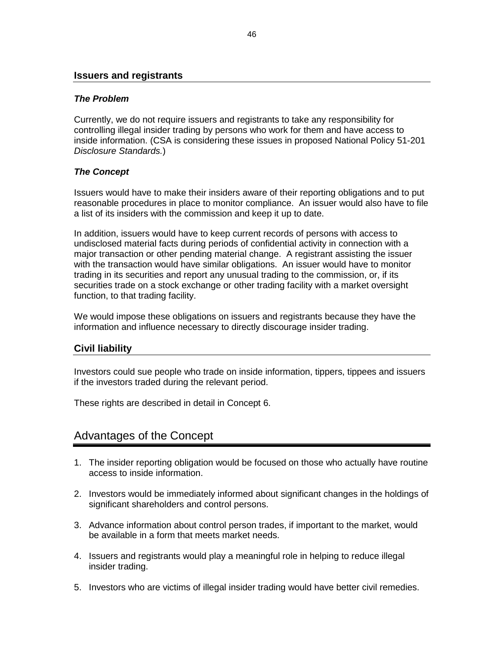#### **Issuers and registrants**

#### *The Problem*

Currently, we do not require issuers and registrants to take any responsibility for controlling illegal insider trading by persons who work for them and have access to inside information. (CSA is considering these issues in proposed National Policy 51-201 *Disclosure Standards.*)

# *The Concept*

Issuers would have to make their insiders aware of their reporting obligations and to put reasonable procedures in place to monitor compliance. An issuer would also have to file a list of its insiders with the commission and keep it up to date.

In addition, issuers would have to keep current records of persons with access to undisclosed material facts during periods of confidential activity in connection with a major transaction or other pending material change. A registrant assisting the issuer with the transaction would have similar obligations. An issuer would have to monitor trading in its securities and report any unusual trading to the commission, or, if its securities trade on a stock exchange or other trading facility with a market oversight function, to that trading facility.

We would impose these obligations on issuers and registrants because they have the information and influence necessary to directly discourage insider trading.

# **Civil liability**

Investors could sue people who trade on inside information, tippers, tippees and issuers if the investors traded during the relevant period.

These rights are described in detail in Concept 6.

# Advantages of the Concept

- 1. The insider reporting obligation would be focused on those who actually have routine access to inside information.
- 2. Investors would be immediately informed about significant changes in the holdings of significant shareholders and control persons.
- 3. Advance information about control person trades, if important to the market, would be available in a form that meets market needs.
- 4. Issuers and registrants would play a meaningful role in helping to reduce illegal insider trading.
- 5. Investors who are victims of illegal insider trading would have better civil remedies.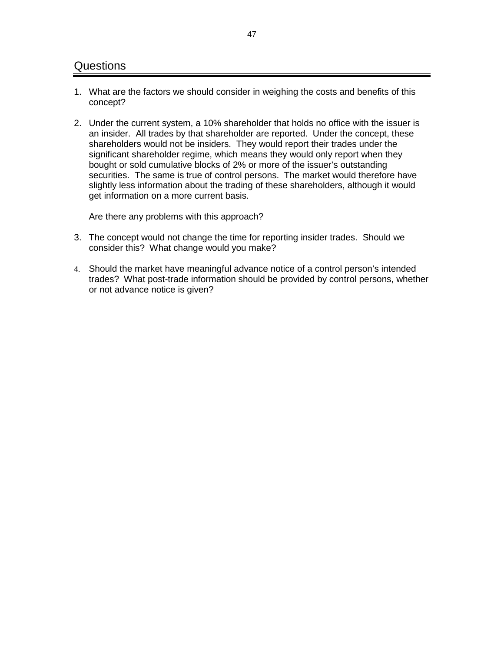- 1. What are the factors we should consider in weighing the costs and benefits of this concept?
- 2. Under the current system, a 10% shareholder that holds no office with the issuer is an insider. All trades by that shareholder are reported. Under the concept, these shareholders would not be insiders. They would report their trades under the significant shareholder regime, which means they would only report when they bought or sold cumulative blocks of 2% or more of the issuer's outstanding securities. The same is true of control persons. The market would therefore have slightly less information about the trading of these shareholders, although it would get information on a more current basis.

Are there any problems with this approach?

- 3. The concept would not change the time for reporting insider trades. Should we consider this? What change would you make?
- 4. Should the market have meaningful advance notice of a control person's intended trades? What post-trade information should be provided by control persons, whether or not advance notice is given?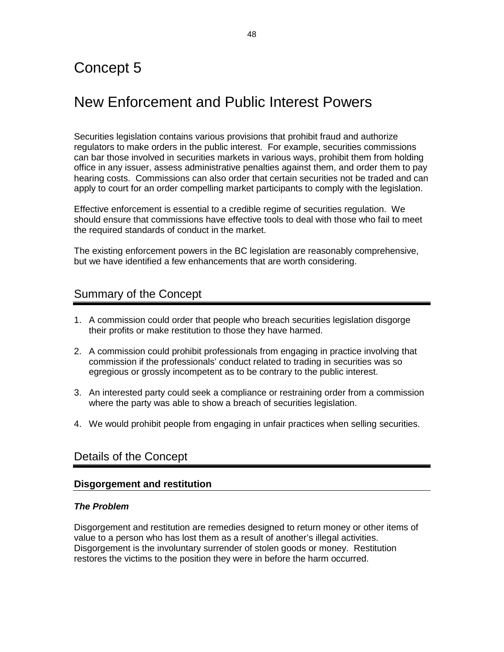# Concept 5

# New Enforcement and Public Interest Powers

Securities legislation contains various provisions that prohibit fraud and authorize regulators to make orders in the public interest. For example, securities commissions can bar those involved in securities markets in various ways, prohibit them from holding office in any issuer, assess administrative penalties against them, and order them to pay hearing costs. Commissions can also order that certain securities not be traded and can apply to court for an order compelling market participants to comply with the legislation.

Effective enforcement is essential to a credible regime of securities regulation. We should ensure that commissions have effective tools to deal with those who fail to meet the required standards of conduct in the market.

The existing enforcement powers in the BC legislation are reasonably comprehensive, but we have identified a few enhancements that are worth considering.

# Summary of the Concept

- 1. A commission could order that people who breach securities legislation disgorge their profits or make restitution to those they have harmed.
- 2. A commission could prohibit professionals from engaging in practice involving that commission if the professionals' conduct related to trading in securities was so egregious or grossly incompetent as to be contrary to the public interest.
- 3. An interested party could seek a compliance or restraining order from a commission where the party was able to show a breach of securities legislation.
- 4. We would prohibit people from engaging in unfair practices when selling securities.

# Details of the Concept

# **Disgorgement and restitution**

#### *The Problem*

Disgorgement and restitution are remedies designed to return money or other items of value to a person who has lost them as a result of another's illegal activities. Disgorgement is the involuntary surrender of stolen goods or money. Restitution restores the victims to the position they were in before the harm occurred.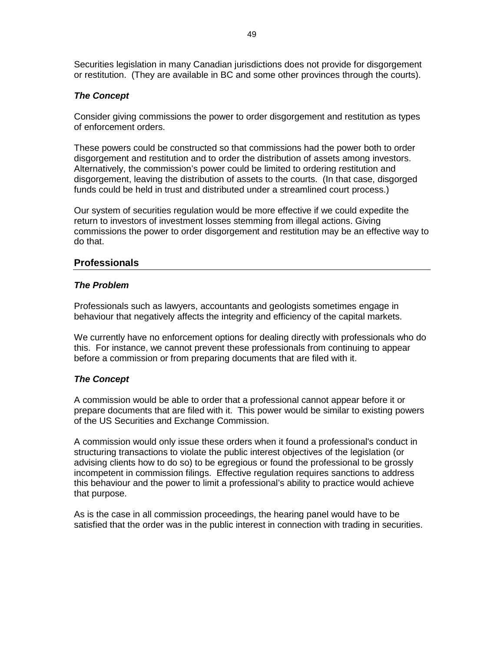Securities legislation in many Canadian jurisdictions does not provide for disgorgement or restitution. (They are available in BC and some other provinces through the courts).

# *The Concept*

Consider giving commissions the power to order disgorgement and restitution as types of enforcement orders.

These powers could be constructed so that commissions had the power both to order disgorgement and restitution and to order the distribution of assets among investors. Alternatively, the commission's power could be limited to ordering restitution and disgorgement, leaving the distribution of assets to the courts. (In that case, disgorged funds could be held in trust and distributed under a streamlined court process.)

Our system of securities regulation would be more effective if we could expedite the return to investors of investment losses stemming from illegal actions. Giving commissions the power to order disgorgement and restitution may be an effective way to do that.

#### **Professionals**

#### *The Problem*

Professionals such as lawyers, accountants and geologists sometimes engage in behaviour that negatively affects the integrity and efficiency of the capital markets.

We currently have no enforcement options for dealing directly with professionals who do this. For instance, we cannot prevent these professionals from continuing to appear before a commission or from preparing documents that are filed with it.

#### *The Concept*

A commission would be able to order that a professional cannot appear before it or prepare documents that are filed with it. This power would be similar to existing powers of the US Securities and Exchange Commission.

A commission would only issue these orders when it found a professional's conduct in structuring transactions to violate the public interest objectives of the legislation (or advising clients how to do so) to be egregious or found the professional to be grossly incompetent in commission filings. Effective regulation requires sanctions to address this behaviour and the power to limit a professional's ability to practice would achieve that purpose.

As is the case in all commission proceedings, the hearing panel would have to be satisfied that the order was in the public interest in connection with trading in securities.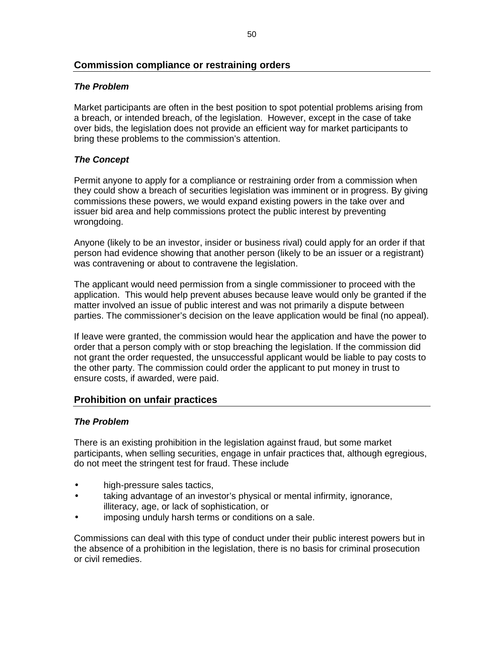# **Commission compliance or restraining orders**

### *The Problem*

Market participants are often in the best position to spot potential problems arising from a breach, or intended breach, of the legislation. However, except in the case of take over bids, the legislation does not provide an efficient way for market participants to bring these problems to the commission's attention.

# *The Concept*

Permit anyone to apply for a compliance or restraining order from a commission when they could show a breach of securities legislation was imminent or in progress. By giving commissions these powers, we would expand existing powers in the take over and issuer bid area and help commissions protect the public interest by preventing wrongdoing.

Anyone (likely to be an investor, insider or business rival) could apply for an order if that person had evidence showing that another person (likely to be an issuer or a registrant) was contravening or about to contravene the legislation.

The applicant would need permission from a single commissioner to proceed with the application. This would help prevent abuses because leave would only be granted if the matter involved an issue of public interest and was not primarily a dispute between parties. The commissioner's decision on the leave application would be final (no appeal).

If leave were granted, the commission would hear the application and have the power to order that a person comply with or stop breaching the legislation. If the commission did not grant the order requested, the unsuccessful applicant would be liable to pay costs to the other party. The commission could order the applicant to put money in trust to ensure costs, if awarded, were paid.

# **Prohibition on unfair practices**

# *The Problem*

There is an existing prohibition in the legislation against fraud, but some market participants, when selling securities, engage in unfair practices that, although egregious, do not meet the stringent test for fraud. These include

- high-pressure sales tactics,
- taking advantage of an investor's physical or mental infirmity, ignorance, illiteracy, age, or lack of sophistication, or
- imposing unduly harsh terms or conditions on a sale.

Commissions can deal with this type of conduct under their public interest powers but in the absence of a prohibition in the legislation, there is no basis for criminal prosecution or civil remedies.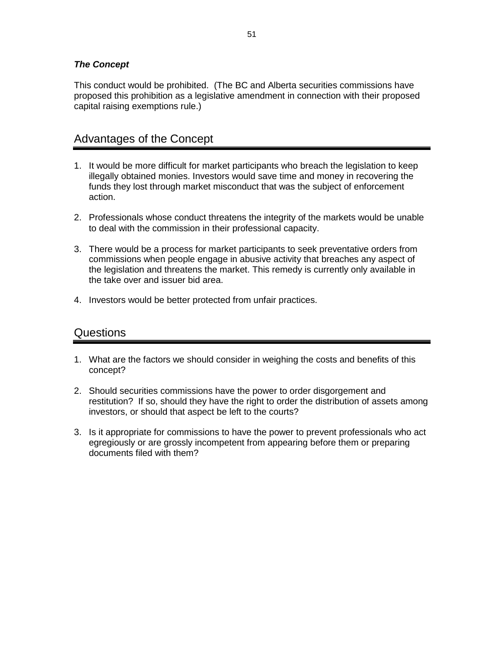# *The Concept*

This conduct would be prohibited. (The BC and Alberta securities commissions have proposed this prohibition as a legislative amendment in connection with their proposed capital raising exemptions rule.)

# Advantages of the Concept

- 1. It would be more difficult for market participants who breach the legislation to keep illegally obtained monies. Investors would save time and money in recovering the funds they lost through market misconduct that was the subject of enforcement action.
- 2. Professionals whose conduct threatens the integrity of the markets would be unable to deal with the commission in their professional capacity.
- 3. There would be a process for market participants to seek preventative orders from commissions when people engage in abusive activity that breaches any aspect of the legislation and threatens the market. This remedy is currently only available in the take over and issuer bid area.
- 4. Investors would be better protected from unfair practices.

# Questions

- 1. What are the factors we should consider in weighing the costs and benefits of this concept?
- 2. Should securities commissions have the power to order disgorgement and restitution? If so, should they have the right to order the distribution of assets among investors, or should that aspect be left to the courts?
- 3. Is it appropriate for commissions to have the power to prevent professionals who act egregiously or are grossly incompetent from appearing before them or preparing documents filed with them?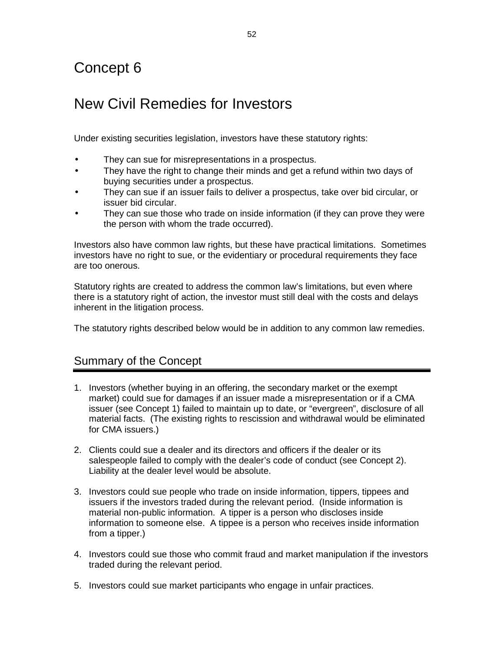# Concept 6

# New Civil Remedies for Investors

Under existing securities legislation, investors have these statutory rights:

- They can sue for misrepresentations in a prospectus.
- They have the right to change their minds and get a refund within two days of buying securities under a prospectus.
- They can sue if an issuer fails to deliver a prospectus, take over bid circular, or issuer bid circular.
- They can sue those who trade on inside information (if they can prove they were the person with whom the trade occurred).

Investors also have common law rights, but these have practical limitations. Sometimes investors have no right to sue, or the evidentiary or procedural requirements they face are too onerous.

Statutory rights are created to address the common law's limitations, but even where there is a statutory right of action, the investor must still deal with the costs and delays inherent in the litigation process.

The statutory rights described below would be in addition to any common law remedies.

# Summary of the Concept

- 1. Investors (whether buying in an offering, the secondary market or the exempt market) could sue for damages if an issuer made a misrepresentation or if a CMA issuer (see Concept 1) failed to maintain up to date, or "evergreen", disclosure of all material facts. (The existing rights to rescission and withdrawal would be eliminated for CMA issuers.)
- 2. Clients could sue a dealer and its directors and officers if the dealer or its salespeople failed to comply with the dealer's code of conduct (see Concept 2). Liability at the dealer level would be absolute.
- 3. Investors could sue people who trade on inside information, tippers, tippees and issuers if the investors traded during the relevant period. (Inside information is material non-public information. A tipper is a person who discloses inside information to someone else. A tippee is a person who receives inside information from a tipper.)
- 4. Investors could sue those who commit fraud and market manipulation if the investors traded during the relevant period.
- 5. Investors could sue market participants who engage in unfair practices.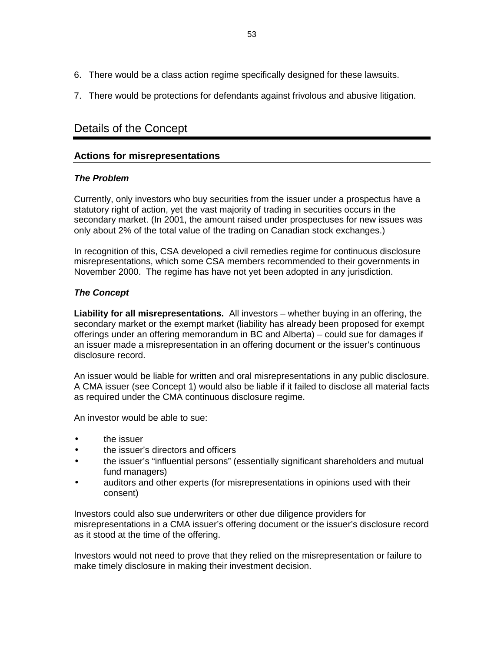- 6. There would be a class action regime specifically designed for these lawsuits.
- 7. There would be protections for defendants against frivolous and abusive litigation.

# Details of the Concept

# **Actions for misrepresentations**

# *The Problem*

Currently, only investors who buy securities from the issuer under a prospectus have a statutory right of action, yet the vast majority of trading in securities occurs in the secondary market. (In 2001, the amount raised under prospectuses for new issues was only about 2% of the total value of the trading on Canadian stock exchanges.)

In recognition of this, CSA developed a civil remedies regime for continuous disclosure misrepresentations, which some CSA members recommended to their governments in November 2000. The regime has have not yet been adopted in any jurisdiction.

# *The Concept*

**Liability for all misrepresentations.** All investors – whether buying in an offering, the secondary market or the exempt market (liability has already been proposed for exempt offerings under an offering memorandum in BC and Alberta) – could sue for damages if an issuer made a misrepresentation in an offering document or the issuer's continuous disclosure record.

An issuer would be liable for written and oral misrepresentations in any public disclosure. A CMA issuer (see Concept 1) would also be liable if it failed to disclose all material facts as required under the CMA continuous disclosure regime.

An investor would be able to sue:

- the issuer
- **the issuer's directors and officers**
- the issuer's "influential persons" (essentially significant shareholders and mutual fund managers)
- auditors and other experts (for misrepresentations in opinions used with their consent)

Investors could also sue underwriters or other due diligence providers for misrepresentations in a CMA issuer's offering document or the issuer's disclosure record as it stood at the time of the offering.

Investors would not need to prove that they relied on the misrepresentation or failure to make timely disclosure in making their investment decision.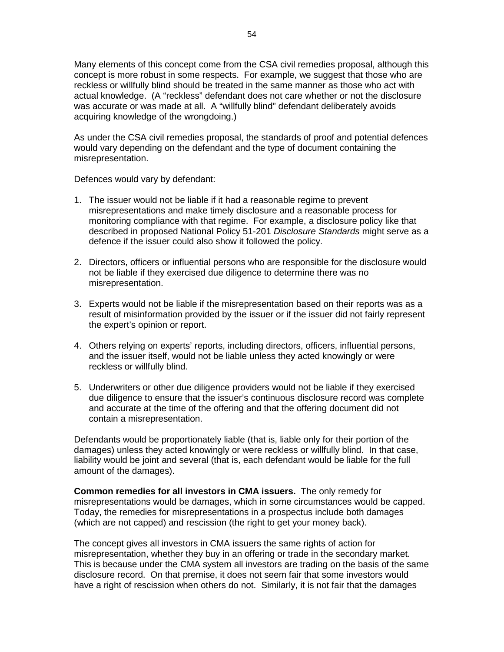Many elements of this concept come from the CSA civil remedies proposal, although this concept is more robust in some respects. For example, we suggest that those who are reckless or willfully blind should be treated in the same manner as those who act with actual knowledge. (A "reckless" defendant does not care whether or not the disclosure was accurate or was made at all. A "willfully blind" defendant deliberately avoids acquiring knowledge of the wrongdoing.)

As under the CSA civil remedies proposal, the standards of proof and potential defences would vary depending on the defendant and the type of document containing the misrepresentation.

Defences would vary by defendant:

- 1. The issuer would not be liable if it had a reasonable regime to prevent misrepresentations and make timely disclosure and a reasonable process for monitoring compliance with that regime. For example, a disclosure policy like that described in proposed National Policy 51-201 *Disclosure Standards* might serve as a defence if the issuer could also show it followed the policy.
- 2. Directors, officers or influential persons who are responsible for the disclosure would not be liable if they exercised due diligence to determine there was no misrepresentation.
- 3. Experts would not be liable if the misrepresentation based on their reports was as a result of misinformation provided by the issuer or if the issuer did not fairly represent the expert's opinion or report.
- 4. Others relying on experts' reports, including directors, officers, influential persons, and the issuer itself, would not be liable unless they acted knowingly or were reckless or willfully blind.
- 5. Underwriters or other due diligence providers would not be liable if they exercised due diligence to ensure that the issuer's continuous disclosure record was complete and accurate at the time of the offering and that the offering document did not contain a misrepresentation.

Defendants would be proportionately liable (that is, liable only for their portion of the damages) unless they acted knowingly or were reckless or willfully blind. In that case, liability would be joint and several (that is, each defendant would be liable for the full amount of the damages).

**Common remedies for all investors in CMA issuers.** The only remedy for misrepresentations would be damages, which in some circumstances would be capped. Today, the remedies for misrepresentations in a prospectus include both damages (which are not capped) and rescission (the right to get your money back).

The concept gives all investors in CMA issuers the same rights of action for misrepresentation, whether they buy in an offering or trade in the secondary market. This is because under the CMA system all investors are trading on the basis of the same disclosure record. On that premise, it does not seem fair that some investors would have a right of rescission when others do not. Similarly, it is not fair that the damages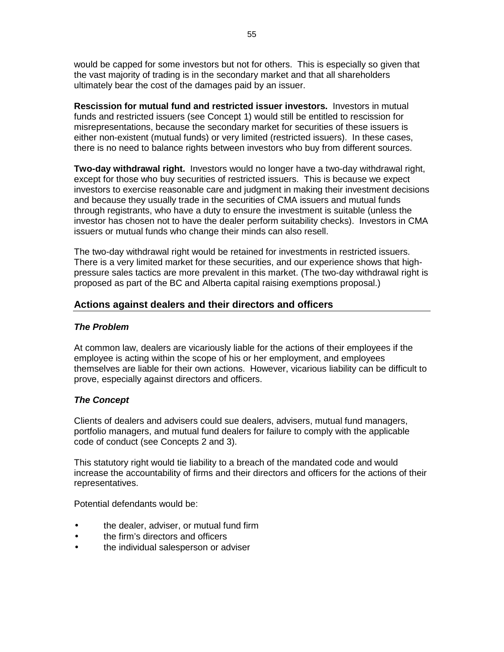would be capped for some investors but not for others. This is especially so given that the vast majority of trading is in the secondary market and that all shareholders ultimately bear the cost of the damages paid by an issuer.

**Rescission for mutual fund and restricted issuer investors.** Investors in mutual funds and restricted issuers (see Concept 1) would still be entitled to rescission for misrepresentations, because the secondary market for securities of these issuers is either non-existent (mutual funds) or very limited (restricted issuers). In these cases, there is no need to balance rights between investors who buy from different sources.

**Two-day withdrawal right.** Investors would no longer have a two-day withdrawal right, except for those who buy securities of restricted issuers. This is because we expect investors to exercise reasonable care and judgment in making their investment decisions and because they usually trade in the securities of CMA issuers and mutual funds through registrants, who have a duty to ensure the investment is suitable (unless the investor has chosen not to have the dealer perform suitability checks). Investors in CMA issuers or mutual funds who change their minds can also resell.

The two-day withdrawal right would be retained for investments in restricted issuers. There is a very limited market for these securities, and our experience shows that highpressure sales tactics are more prevalent in this market. (The two-day withdrawal right is proposed as part of the BC and Alberta capital raising exemptions proposal.)

# **Actions against dealers and their directors and officers**

#### *The Problem*

At common law, dealers are vicariously liable for the actions of their employees if the employee is acting within the scope of his or her employment, and employees themselves are liable for their own actions. However, vicarious liability can be difficult to prove, especially against directors and officers.

# *The Concept*

Clients of dealers and advisers could sue dealers, advisers, mutual fund managers, portfolio managers, and mutual fund dealers for failure to comply with the applicable code of conduct (see Concepts 2 and 3).

This statutory right would tie liability to a breach of the mandated code and would increase the accountability of firms and their directors and officers for the actions of their representatives.

Potential defendants would be:

- the dealer, adviser, or mutual fund firm
- the firm's directors and officers
- the individual salesperson or adviser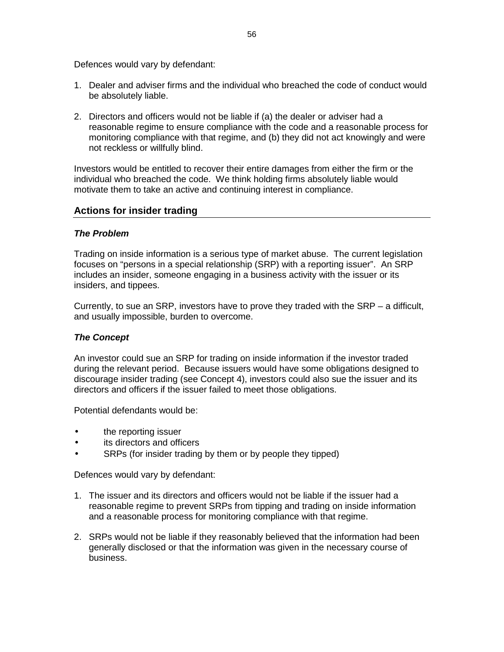Defences would vary by defendant:

- 1. Dealer and adviser firms and the individual who breached the code of conduct would be absolutely liable.
- 2. Directors and officers would not be liable if (a) the dealer or adviser had a reasonable regime to ensure compliance with the code and a reasonable process for monitoring compliance with that regime, and (b) they did not act knowingly and were not reckless or willfully blind.

Investors would be entitled to recover their entire damages from either the firm or the individual who breached the code. We think holding firms absolutely liable would motivate them to take an active and continuing interest in compliance.

# **Actions for insider trading**

#### *The Problem*

Trading on inside information is a serious type of market abuse. The current legislation focuses on "persons in a special relationship (SRP) with a reporting issuer". An SRP includes an insider, someone engaging in a business activity with the issuer or its insiders, and tippees.

Currently, to sue an SRP, investors have to prove they traded with the SRP – a difficult, and usually impossible, burden to overcome.

#### *The Concept*

An investor could sue an SRP for trading on inside information if the investor traded during the relevant period. Because issuers would have some obligations designed to discourage insider trading (see Concept 4), investors could also sue the issuer and its directors and officers if the issuer failed to meet those obligations.

Potential defendants would be:

- the reporting issuer
- its directors and officers
- SRPs (for insider trading by them or by people they tipped)

Defences would vary by defendant:

- 1. The issuer and its directors and officers would not be liable if the issuer had a reasonable regime to prevent SRPs from tipping and trading on inside information and a reasonable process for monitoring compliance with that regime.
- 2. SRPs would not be liable if they reasonably believed that the information had been generally disclosed or that the information was given in the necessary course of business.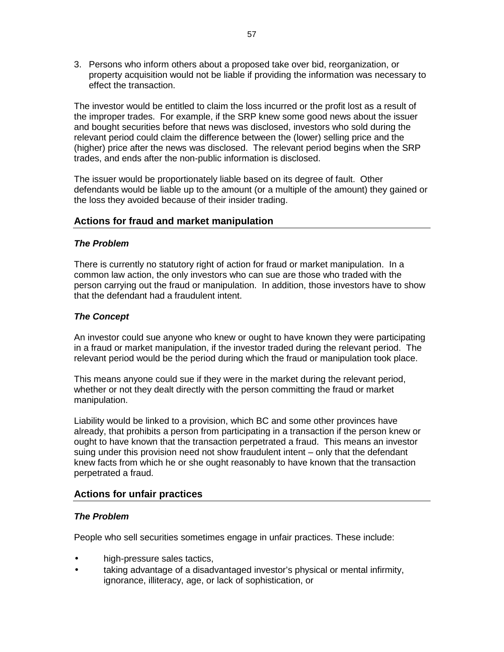3. Persons who inform others about a proposed take over bid, reorganization, or property acquisition would not be liable if providing the information was necessary to effect the transaction.

The investor would be entitled to claim the loss incurred or the profit lost as a result of the improper trades. For example, if the SRP knew some good news about the issuer and bought securities before that news was disclosed, investors who sold during the relevant period could claim the difference between the (lower) selling price and the (higher) price after the news was disclosed. The relevant period begins when the SRP trades, and ends after the non-public information is disclosed.

The issuer would be proportionately liable based on its degree of fault. Other defendants would be liable up to the amount (or a multiple of the amount) they gained or the loss they avoided because of their insider trading.

# **Actions for fraud and market manipulation**

#### *The Problem*

There is currently no statutory right of action for fraud or market manipulation. In a common law action, the only investors who can sue are those who traded with the person carrying out the fraud or manipulation. In addition, those investors have to show that the defendant had a fraudulent intent.

#### *The Concept*

An investor could sue anyone who knew or ought to have known they were participating in a fraud or market manipulation, if the investor traded during the relevant period. The relevant period would be the period during which the fraud or manipulation took place.

This means anyone could sue if they were in the market during the relevant period, whether or not they dealt directly with the person committing the fraud or market manipulation.

Liability would be linked to a provision, which BC and some other provinces have already, that prohibits a person from participating in a transaction if the person knew or ought to have known that the transaction perpetrated a fraud. This means an investor suing under this provision need not show fraudulent intent – only that the defendant knew facts from which he or she ought reasonably to have known that the transaction perpetrated a fraud.

# **Actions for unfair practices**

# *The Problem*

People who sell securities sometimes engage in unfair practices. These include:

- high-pressure sales tactics,
- taking advantage of a disadvantaged investor's physical or mental infirmity, ignorance, illiteracy, age, or lack of sophistication, or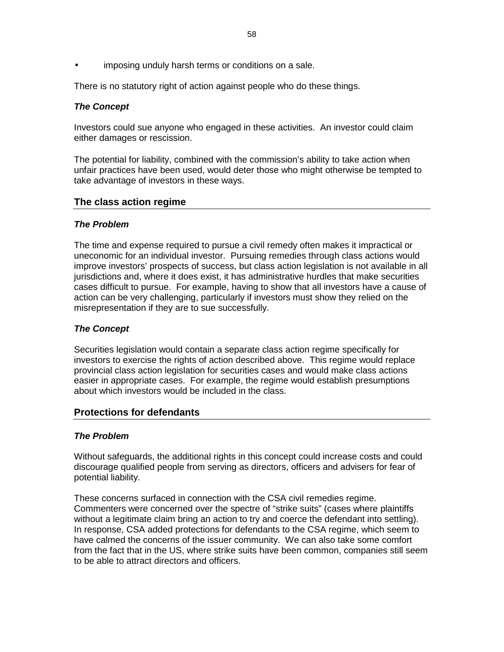imposing unduly harsh terms or conditions on a sale.

There is no statutory right of action against people who do these things.

### *The Concept*

Investors could sue anyone who engaged in these activities. An investor could claim either damages or rescission.

The potential for liability, combined with the commission's ability to take action when unfair practices have been used, would deter those who might otherwise be tempted to take advantage of investors in these ways.

#### **The class action regime**

#### *The Problem*

The time and expense required to pursue a civil remedy often makes it impractical or uneconomic for an individual investor. Pursuing remedies through class actions would improve investors' prospects of success, but class action legislation is not available in all jurisdictions and, where it does exist, it has administrative hurdles that make securities cases difficult to pursue. For example, having to show that all investors have a cause of action can be very challenging, particularly if investors must show they relied on the misrepresentation if they are to sue successfully.

#### *The Concept*

Securities legislation would contain a separate class action regime specifically for investors to exercise the rights of action described above. This regime would replace provincial class action legislation for securities cases and would make class actions easier in appropriate cases. For example, the regime would establish presumptions about which investors would be included in the class.

#### **Protections for defendants**

#### *The Problem*

Without safeguards, the additional rights in this concept could increase costs and could discourage qualified people from serving as directors, officers and advisers for fear of potential liability.

These concerns surfaced in connection with the CSA civil remedies regime. Commenters were concerned over the spectre of "strike suits" (cases where plaintiffs without a legitimate claim bring an action to try and coerce the defendant into settling). In response, CSA added protections for defendants to the CSA regime, which seem to have calmed the concerns of the issuer community. We can also take some comfort from the fact that in the US, where strike suits have been common, companies still seem to be able to attract directors and officers.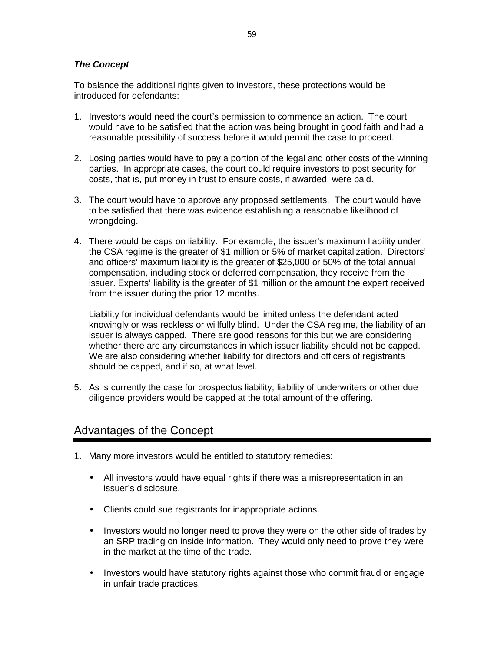# *The Concept*

To balance the additional rights given to investors, these protections would be introduced for defendants:

- 1. Investors would need the court's permission to commence an action. The court would have to be satisfied that the action was being brought in good faith and had a reasonable possibility of success before it would permit the case to proceed.
- 2. Losing parties would have to pay a portion of the legal and other costs of the winning parties. In appropriate cases, the court could require investors to post security for costs, that is, put money in trust to ensure costs, if awarded, were paid.
- 3. The court would have to approve any proposed settlements. The court would have to be satisfied that there was evidence establishing a reasonable likelihood of wrongdoing.
- 4. There would be caps on liability. For example, the issuer's maximum liability under the CSA regime is the greater of \$1 million or 5% of market capitalization. Directors' and officers' maximum liability is the greater of \$25,000 or 50% of the total annual compensation, including stock or deferred compensation, they receive from the issuer. Experts' liability is the greater of \$1 million or the amount the expert received from the issuer during the prior 12 months.

Liability for individual defendants would be limited unless the defendant acted knowingly or was reckless or willfully blind. Under the CSA regime, the liability of an issuer is always capped. There are good reasons for this but we are considering whether there are any circumstances in which issuer liability should not be capped. We are also considering whether liability for directors and officers of registrants should be capped, and if so, at what level.

5. As is currently the case for prospectus liability, liability of underwriters or other due diligence providers would be capped at the total amount of the offering.

# Advantages of the Concept

- 1. Many more investors would be entitled to statutory remedies:
	- All investors would have equal rights if there was a misrepresentation in an issuer's disclosure.
	- Clients could sue registrants for inappropriate actions.
	- Investors would no longer need to prove they were on the other side of trades by an SRP trading on inside information. They would only need to prove they were in the market at the time of the trade.
	- Investors would have statutory rights against those who commit fraud or engage in unfair trade practices.